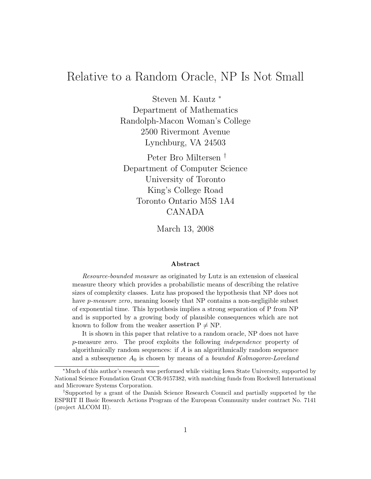# Relative to a Random Oracle, NP Is Not Small

Steven M. Kautz <sup>∗</sup> Department of Mathematics Randolph-Macon Woman's College 2500 Rivermont Avenue Lynchburg, VA 24503

Peter Bro Miltersen † Department of Computer Science University of Toronto King's College Road Toronto Ontario M5S 1A4 CANADA

March 13, 2008

#### Abstract

Resource-bounded measure as originated by Lutz is an extension of classical measure theory which provides a probabilistic means of describing the relative sizes of complexity classes. Lutz has proposed the hypothesis that NP does not have *p-measure zero*, meaning loosely that NP contains a non-negligible subset of exponential time. This hypothesis implies a strong separation of P from NP and is supported by a growing body of plausible consequences which are not known to follow from the weaker assertion  $P \neq NP$ .

It is shown in this paper that relative to a random oracle, NP does not have p-measure zero. The proof exploits the following independence property of algorithmically random sequences: if  $A$  is an algorithmically random sequence and a subsequence  $A_0$  is chosen by means of a *bounded Kolmogorov-Loveland* 

<sup>∗</sup>Much of this author's research was performed while visiting Iowa State University, supported by National Science Foundation Grant CCR-9157382, with matching funds from Rockwell International and Microware Systems Corporation.

<sup>†</sup>Supported by a grant of the Danish Science Research Council and partially supported by the ESPRIT II Basic Research Actions Program of the European Community under contract No. 7141 (project ALCOM II).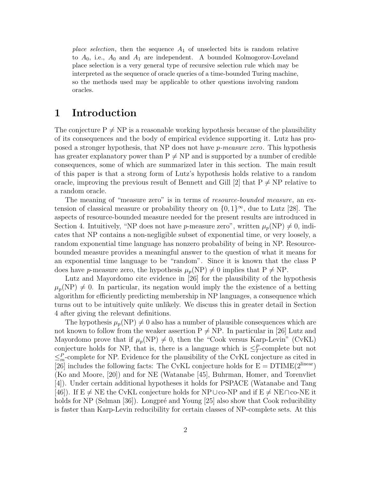*place selection*, then the sequence  $A_1$  of unselected bits is random relative to  $A_0$ , i.e.,  $A_0$  and  $A_1$  are independent. A bounded Kolmogorov-Loveland place selection is a very general type of recursive selection rule which may be interpreted as the sequence of oracle queries of a time-bounded Turing machine, so the methods used may be applicable to other questions involving random oracles.

### 1 Introduction

The conjecture  $P \neq NP$  is a reasonable working hypothesis because of the plausibility of its consequences and the body of empirical evidence supporting it. Lutz has proposed a stronger hypothesis, that NP does not have p-measure zero. This hypothesis has greater explanatory power than  $P \neq NP$  and is supported by a number of credible consequences, some of which are summarized later in this section. The main result of this paper is that a strong form of Lutz's hypothesis holds relative to a random oracle, improving the previous result of Bennett and Gill [2] that  $P \neq NP$  relative to a random oracle.

The meaning of "measure zero" is in terms of *resource-bounded measure*, an extension of classical measure or probability theory on  $\{0,1\}^{\infty}$ , due to Lutz [28]. The aspects of resource-bounded measure needed for the present results are introduced in Section 4. Intuitively, "NP does not have *p*-measure zero", written  $\mu_p(NP) \neq 0$ , indicates that NP contains a non-negligible subset of exponential time, or very loosely, a random exponential time language has nonzero probability of being in NP. Resourcebounded measure provides a meaningful answer to the question of what it means for an exponential time language to be "random". Since it is known that the class P does have p-measure zero, the hypothesis  $\mu_p(NP) \neq 0$  implies that  $P \neq NP$ .

Lutz and Mayordomo cite evidence in [26] for the plausibility of the hypothesis  $\mu_p(N) \neq 0$ . In particular, its negation would imply the the existence of a betting algorithm for efficiently predicting membership in NP languages, a consequence which turns out to be intuitively quite unlikely. We discuss this in greater detail in Section 4 after giving the relevant definitions.

The hypothesis  $\mu_p(NP) \neq 0$  also has a number of plausible consequences which are not known to follow from the weaker assertion  $P \neq NP$ . In particular in [26] Lutz and Mayordomo prove that if  $\mu_p(NP) \neq 0$ , then the "Cook versus Karp-Levin" (CvKL) conjecture holds for NP, that is, there is a language which is  $\leq^P_T$ -complete but not  $\leq^P_m$ -complete for NP. Evidence for the plausibility of the CvKL conjecture as cited in [26] includes the following facts: The CvKL conjecture holds for  $E = DTIME(2^{linear})$ (Ko and Moore, [20]) and for NE (Watanabe [45], Buhrman, Homer, and Torenvliet [4]). Under certain additional hypotheses it holds for PSPACE (Watanabe and Tang [46]). If E  $\neq$  NE the CvKL conjecture holds for NP∪co-NP and if E  $\neq$  NE∩co-NE it holds for NP (Selman [36]). Longpré and Young [25] also show that Cook reducibility is faster than Karp-Levin reducibility for certain classes of NP-complete sets. At this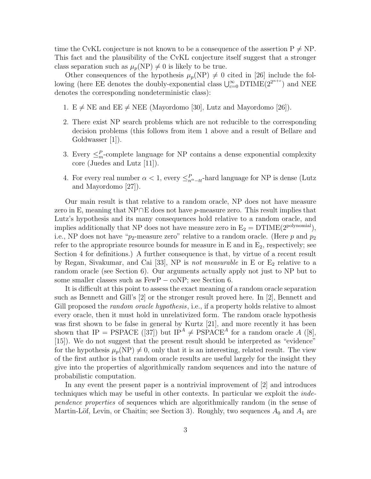time the CvKL conjecture is not known to be a consequence of the assertion  $P \neq NP$ . This fact and the plausibility of the CvKL conjecture itself suggest that a stronger class separation such as  $\mu_p(NP) \neq 0$  is likely to be true.

Other consequences of the hypothesis  $\mu_p(NP) \neq 0$  cited in [26] include the following (here EE denotes the doubly-exponential class  $\bigcup_{c=0}^{\infty}$  DTIME $(2^{2^{n+c}})$  and NEE denotes the corresponding nondeterministic class):

- 1.  $E \neq NE$  and  $EE \neq NEE$  (Mayordomo [30], Lutz and Mayordomo [26]).
- 2. There exist NP search problems which are not reducible to the corresponding decision problems (this follows from item 1 above and a result of Bellare and Goldwasser [1]).
- 3. Every  $\leq^P_m$ -complete language for NP contains a dense exponential complexity core (Juedes and Lutz [11]).
- 4. For every real number  $\alpha < 1$ , every  $\leq_{n^{\alpha}-tt}^{P}$ -hard language for NP is dense (Lutz and Mayordomo [27]).

Our main result is that relative to a random oracle, NP does not have measure zero in E, meaning that NP∩E does not have p-measure zero. This result implies that Lutz's hypothesis and its many consequences hold relative to a random oracle, and implies additionally that NP does not have measure zero in  $E_2 = DTIME(2^{polynomial})$ , i.e., NP does not have " $p_2$ -measure zero" relative to a random oracle. (Here p and  $p_2$ ) refer to the appropriate resource bounds for measure in  $E$  and in  $E_2$ , respectively; see Section 4 for definitions.) A further consequence is that, by virtue of a recent result by Regan, Sivakumar, and Cai [33], NP is not measurable in  $E$  or  $E_2$  relative to a random oracle (see Section 6). Our arguments actually apply not just to NP but to some smaller classes such as FewP – coNP; see Section 6.

It is difficult at this point to assess the exact meaning of a random oracle separation such as Bennett and Gill's [2] or the stronger result proved here. In [2], Bennett and Gill proposed the *random oracle hypothesis*, i.e., if a property holds relative to almost every oracle, then it must hold in unrelativized form. The random oracle hypothesis was first shown to be false in general by Kurtz [21], and more recently it has been shown that IP = PSPACE ([37]) but IP<sup>A</sup>  $\neq$  PSPACE<sup>A</sup> for a random oracle A ([8], [15]). We do not suggest that the present result should be interpreted as "evidence" for the hypothesis  $\mu_p(NP) \neq 0$ , only that it is an interesting, related result. The view of the first author is that random oracle results are useful largely for the insight they give into the properties of algorithmically random sequences and into the nature of probabilistic computation.

In any event the present paper is a nontrivial improvement of [2] and introduces techniques which may be useful in other contexts. In particular we exploit the independence properties of sequences which are algorithmically random (in the sense of Martin-Löf, Levin, or Chaitin; see Section 3). Roughly, two sequences  $A_0$  and  $A_1$  are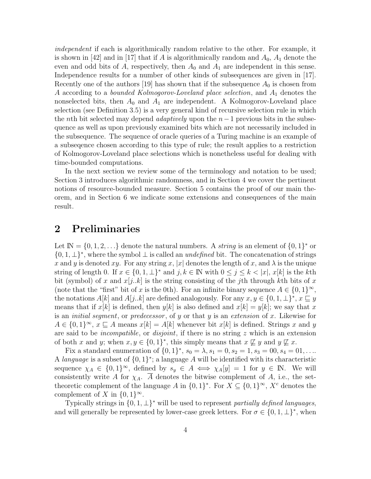independent if each is algorithmically random relative to the other. For example, it is shown in [42] and in [17] that if A is algorithmically random and  $A_0$ ,  $A_1$  denote the even and odd bits of A, respectively, then  $A_0$  and  $A_1$  are independent in this sense. Independence results for a number of other kinds of subsequences are given in [17]. Recently one of the authors [19] has shown that if the subsequence  $A_0$  is chosen from A according to a *bounded Kolmogorov-Loveland place selection*, and  $A_1$  denotes the nonselected bits, then  $A_0$  and  $A_1$  are independent. A Kolmogorov-Loveland place selection (see Definition 3.5) is a very general kind of recursive selection rule in which the nth bit selected may depend *adaptively* upon the  $n-1$  previous bits in the subsequence as well as upon previously examined bits which are not necessarily included in the subsequence. The sequence of oracle queries of a Turing machine is an example of a subseqence chosen according to this type of rule; the result applies to a restriction of Kolmogorov-Loveland place selections which is nonetheless useful for dealing with time-bounded computations.

In the next section we review some of the terminology and notation to be used; Section 3 introduces algorithmic randomness, and in Section 4 we cover the pertinent notions of resource-bounded measure. Section 5 contains the proof of our main theorem, and in Section 6 we indicate some extensions and consequences of the main result.

## 2 Preliminaries

Let  $\mathbb{N} = \{0, 1, 2, \ldots\}$  denote the natural numbers. A *string* is an element of  $\{0, 1\}^*$  or  $\{0, 1, \perp\}^*$ , where the symbol  $\perp$  is called an *undefined* bit. The concatenation of strings x and y is denoted xy. For any string x, |x| denotes the length of x, and  $\lambda$  is the unique string of length 0. If  $x \in \{0, 1, \perp\}^*$  and  $j, k \in \mathbb{N}$  with  $0 \leq j \leq k < |x|, x[k]$  is the kth bit (symbol) of x and  $x[j..k]$  is the string consisting of the j<sup>th</sup> through kth bits of x (note that the "first" bit of x is the 0th). For an infinite binary sequence  $A \in \{0,1\}^{\infty}$ , the notations  $A[k]$  and  $A[j..k]$  are defined analogously. For any  $x, y \in \{0, 1, \perp\}^*, x \sqsubseteq y$ means that if  $x[k]$  is defined, then  $y[k]$  is also defined and  $x[k] = y[k]$ ; we say that x is an *initial segment*, or *predecessor*, of y or that y is an *extension* of x. Likewise for  $A \in \{0,1\}^{\infty}, x \sqsubseteq A$  means  $x[k] = A[k]$  whenever bit  $x[k]$  is defined. Strings x and y are said to be *incompatible*, or *disjoint*, if there is no string z which is an extension of both x and y; when  $x, y \in \{0, 1\}^*$ , this simply means that  $x \not\sqsubseteq y$  and  $y \not\sqsubseteq x$ .

Fix a standard enumeration of  $\{0,1\}^*$ ,  $s_0 = \lambda$ ,  $s_1 = 0$ ,  $s_2 = 1$ ,  $s_3 = 00$ ,  $s_4 = 01$ , ... A language is a subset of  $\{0,1\}^*$ ; a language A will be identified with its characteristic sequence  $\chi_A \in \{0,1\}^{\infty}$ , defined by  $s_y \in A \iff \chi_A[y] = 1$  for  $y \in \mathbb{N}$ . We will consistently write A for  $\chi_A$ . A denotes the bitwise complement of A, i.e., the settheoretic complement of the language A in  $\{0,1\}^*$ . For  $X \subseteq \{0,1\}^{\infty}$ ,  $X^c$  denotes the complement of X in  $\{0,1\}^{\infty}$ .

Typically strings in  $\{0, 1, \perp\}^*$  will be used to represent partially defined languages, and will generally be represented by lower-case greek letters. For  $\sigma \in \{0, 1, \perp\}^*$ , when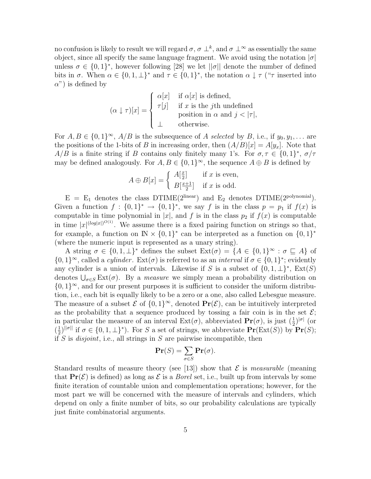no confusion is likely to result we will regard  $\sigma, \sigma \perp^k$ , and  $\sigma \perp^{\infty}$  as essentially the same object, since all specify the same language fragment. We avoid using the notation  $|\sigma|$ unless  $\sigma \in \{0,1\}^*$ , however following [28] we let  $||\sigma||$  denote the number of defined bits in  $\sigma$ . When  $\alpha \in \{0, 1, \perp\}^*$  and  $\tau \in \{0, 1\}^*$ , the notation  $\alpha \downarrow \tau$  (" $\tau$  inserted into  $\alpha$ ") is defined by

$$
(\alpha \downarrow \tau)[x] = \begin{cases} \alpha[x] & \text{if } \alpha[x] \text{ is defined,} \\ \tau[j] & \text{if } x \text{ is the } j\text{th undefined} \\ & \text{position in } \alpha \text{ and } j < |\tau|, \\ \bot & \text{otherwise.} \end{cases}
$$

For  $A, B \in \{0,1\}^{\infty}$ ,  $A/B$  is the subsequence of A selected by B, i.e., if  $y_0, y_1, \ldots$  are the positions of the 1-bits of B in increasing order, then  $(A/B)[x] = A[y_x]$ . Note that  $A/B$  is a finite string if B contains only finitely many 1's. For  $\sigma, \tau \in \{0,1\}^*, \sigma/\tau$ may be defined analogously. For  $A, B \in \{0, 1\}^{\infty}$ , the sequence  $A \oplus B$  is defined by

$$
A \oplus B[x] = \begin{cases} A[\frac{x}{2}] & \text{if } x \text{ is even,} \\ B[\frac{x+1}{2}] & \text{if } x \text{ is odd.} \end{cases}
$$

 $E = E_1$  denotes the class DTIME(2<sup>linear</sup>) and  $E_2$  denotes DTIME(2<sup>polynomial</sup>). Given a function  $f: \{0,1\}^* \to \{0,1\}^*$ , we say f is in the class  $p = p_1$  if  $f(x)$  is computable in time polynomial in |x|, and f is in the class  $p_2$  if  $f(x)$  is computable in time  $|x|^{(\log|x|)^{O(1)}}$ . We assume there is a fixed pairing function on strings so that, for example, a function on  $\mathbb{N} \times \{0,1\}^*$  can be interpreted as a function on  $\{0,1\}^*$ (where the numeric input is represented as a unary string).

A string  $\sigma \in \{0,1,\perp\}^*$  defines the subset  $\text{Ext}(\sigma) = \{A \in \{0,1\}^\infty : \sigma \sqsubseteq A\}$  of  $\{0,1\}^{\infty}$ , called a *cylinder*. Ext( $\sigma$ ) is referred to as an *interval* if  $\sigma \in \{0,1\}^*$ ; evidently any cylinder is a union of intervals. Likewise if S is a subset of  $\{0, 1, \perp\}^*$ ,  $\text{Ext}(S)$ denotes  $\bigcup_{\sigma \in S} \text{Ext}(\sigma)$ . By a *measure* we simply mean a probability distribution on  $\{0,1\}^{\infty}$ , and for our present purposes it is sufficient to consider the uniform distribution, i.e., each bit is equally likely to be a zero or a one, also called Lebesgue measure. The measure of a subset  $\mathcal E$  of  $\{0,1\}^\infty$ , denoted  $\Pr(\mathcal E)$ , can be intuitively interpreted as the probability that a sequence produced by tossing a fair coin is in the set  $\mathcal{E}$ ; in particular the measure of an interval  $Ext(\sigma)$ , abbreviated  $\mathbf{Pr}(\sigma)$ , is just  $(\frac{1}{2})^{|\sigma|}$  (or  $\left(\frac{1}{2}\right)$  $\frac{1}{2}$ )<sup>|| $\sigma$ || if  $\sigma \in \{0, 1, \perp\}^*$ ). For S a set of strings, we abbreviate  $\Pr(\text{Ext}(S))$  by  $\Pr(S)$ ;</sup> if S is *disjoint*, i.e., all strings in S are pairwise incompatible, then

$$
\mathbf{Pr}(S) = \sum_{\sigma \in S} \mathbf{Pr}(\sigma).
$$

Standard results of measure theory (see [13]) show that  $\mathcal E$  is measurable (meaning that  $\Pr(\mathcal{E})$  is defined) as long as  $\mathcal E$  is a *Borel* set, i.e., built up from intervals by some finite iteration of countable union and complementation operations; however, for the most part we will be concerned with the measure of intervals and cylinders, which depend on only a finite number of bits, so our probability calculations are typically just finite combinatorial arguments.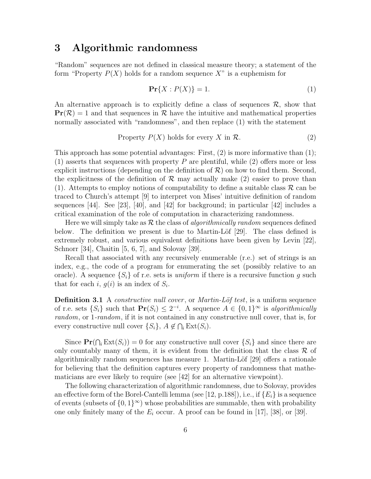## 3 Algorithmic randomness

"Random" sequences are not defined in classical measure theory; a statement of the form "Property  $P(X)$  holds for a random sequence X" is a euphemism for

$$
\Pr\{X: P(X)\} = 1. \tag{1}
$$

An alternative approach is to explicitly define a class of sequences  $\mathcal{R}$ , show that  $\Pr(\mathcal{R}) = 1$  and that sequences in  $\mathcal{R}$  have the intuitive and mathematical properties normally associated with "randomness", and then replace (1) with the statement

Property 
$$
P(X)
$$
 holds for every X in  $\mathcal{R}$ .  $(2)$ 

This approach has some potential advantages: First,  $(2)$  is more informative than  $(1)$ ;  $(1)$  asserts that sequences with property P are plentiful, while  $(2)$  offers more or less explicit instructions (depending on the definition of  $\mathcal{R}$ ) on how to find them. Second, the explicitness of the definition of  $\mathcal R$  may actually make (2) easier to prove than (1). Attempts to employ notions of computability to define a suitable class  $\mathcal R$  can be traced to Church's attempt [9] to interpret von Mises' intuitive definition of random sequences [44]. See [23], [40], and [42] for background; in particular [42] includes a critical examination of the role of computation in characterizing randomness.

Here we will simply take as  $\mathcal R$  the class of *algorithmically random* sequences defined below. The definition we present is due to Martin-Löf  $[29]$ . The class defined is extremely robust, and various equivalent definitions have been given by Levin [22], Schnorr [34], Chaitin [5, 6, 7], and Solovay [39].

Recall that associated with any recursively enumerable (r.e.) set of strings is an index, e.g., the code of a program for enumerating the set (possibly relative to an oracle). A sequence  $\{S_i\}$  of r.e. sets is *uniform* if there is a recursive function g such that for each i,  $g(i)$  is an index of  $S_i$ .

**Definition 3.1** A *constructive null cover*, or *Martin-Löf test*, is a uniform sequence of r.e. sets  $\{S_i\}$  such that  $\mathbf{Pr}(S_i) \leq 2^{-i}$ . A sequence  $A \in \{0,1\}^{\infty}$  is algorithmically random, or 1-random, if it is not contained in any constructive null cover, that is, for every constructive null cover  $\{S_i\}, A \notin \bigcap_i \text{Ext}(S_i)$ .

Since  $\Pr(\bigcap_i \text{Ext}(S_i)) = 0$  for any constructive null cover  $\{S_i\}$  and since there are only countably many of them, it is evident from the definition that the class  $\mathcal R$  of algorithmically random sequences has measure 1. Martin-Löf  $[29]$  offers a rationale for believing that the definition captures every property of randomness that mathematicians are ever likely to require (see [42] for an alternative viewpoint).

The following characterization of algorithmic randomness, due to Solovay, provides an effective form of the Borel-Cantelli lemma (see [12, p.188]), i.e., if  $\{E_i\}$  is a sequence of events (subsets of  $\{0,1\}^{\infty}$ ) whose probabilities are summable, then with probability one only finitely many of the  $E_i$  occur. A proof can be found in [17], [38], or [39].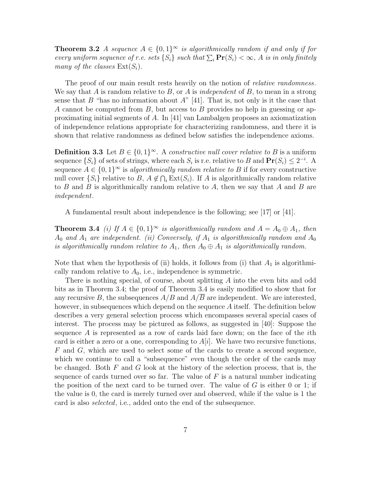**Theorem 3.2** A sequence  $A \in \{0,1\}^{\infty}$  is algorithmically random if and only if for every uniform sequence of r.e. sets  $\{S_i\}$  such that  $\sum_i \mathbf{Pr}(S_i) < \infty$ , A is in only finitely many of the classes  $Ext(S_i)$ .

The proof of our main result rests heavily on the notion of *relative randomness*. We say that A is random relative to B, or A is independent of B, to mean in a strong sense that B "has no information about A" [41]. That is, not only is it the case that A cannot be computed from  $B$ , but access to  $B$  provides no help in guessing or approximating initial segments of A. In [41] van Lambalgen proposes an axiomatization of independence relations appropriate for characterizing randomness, and there it is shown that relative randomness as defined below satisfies the independence axioms.

**Definition 3.3** Let  $B \in \{0,1\}^{\infty}$ . A constructive null cover relative to B is a uniform sequence  $\{S_i\}$  of sets of strings, where each  $S_i$  is r.e. relative to B and  $\mathbf{Pr}(S_i) \leq 2^{-i}$ . A sequence  $A \in \{0,1\}^{\infty}$  is algorithmically random relative to B if for every constructive null cover  $\{S_i\}$  relative to B,  $A \notin \bigcap_i \text{Ext}(S_i)$ . If A is algorithmically random relative to B and B is algorithmically random relative to A, then we say that A and B are independent.

A fundamental result about independence is the following; see [17] or [41].

**Theorem 3.4** (i) If  $A \in \{0,1\}^{\infty}$  is algorithmically random and  $A = A_0 \oplus A_1$ , then  $A_0$  and  $A_1$  are independent. (ii) Conversely, if  $A_1$  is algorithmically random and  $A_0$ is algorithmically random relative to  $A_1$ , then  $A_0 \oplus A_1$  is algorithmically random.

Note that when the hypothesis of (ii) holds, it follows from (i) that  $A_1$  is algorithmically random relative to  $A_0$ , i.e., independence is symmetric.

There is nothing special, of course, about splitting A into the even bits and odd bits as in Theorem 3.4; the proof of Theorem 3.4 is easily modified to show that for any recursive B, the subsequences  $A/B$  and  $A/\overline{B}$  are independent. We are interested, however, in subsequences which depend on the sequence A itself. The definition below describes a very general selection process which encompasses several special cases of interest. The process may be pictured as follows, as suggested in [40]: Suppose the sequence  $A$  is represented as a row of cards laid face down; on the face of the *i*th card is either a zero or a one, corresponding to  $A[i]$ . We have two recursive functions, F and G, which are used to select some of the cards to create a second sequence, which we continue to call a "subsequence" even though the order of the cards may be changed. Both  $F$  and  $G$  look at the history of the selection process, that is, the sequence of cards turned over so far. The value of  $F$  is a natural number indicating the position of the next card to be turned over. The value of  $G$  is either 0 or 1; if the value is 0, the card is merely turned over and observed, while if the value is 1 the card is also selected, i.e., added onto the end of the subsequence.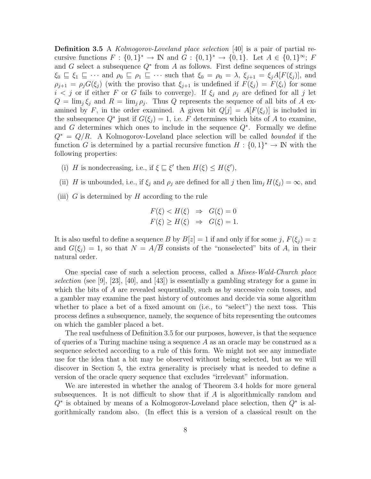**Definition 3.5** A *Kolmogorov-Loveland place selection* [40] is a pair of partial recursive functions  $F: \{0,1\}^* \to \mathbb{N}$  and  $G: \{0,1\}^* \to \{0,1\}$ . Let  $A \in \{0,1\}^{\infty}$ ; F and  $G$  select a subsequence  $Q^*$  from  $A$  as follows. First define sequences of strings  $\xi_0 \subseteq \xi_1 \subseteq \cdots$  and  $\rho_0 \subseteq \rho_1 \subseteq \cdots$  such that  $\xi_0 = \rho_0 = \lambda$ ,  $\xi_{j+1} = \xi_j A[F(\xi_j)]$ , and  $\rho_{j+1} = \rho_j G(\xi_j)$  (with the proviso that  $\xi_{j+1}$  is undefined if  $F(\xi_j) = F(\xi_i)$  for some  $i < j$  or if either F or G fails to converge). If  $\xi_j$  and  $\rho_j$  are defined for all j let  $Q = \lim_{j} \xi_j$  and  $R = \lim_{j} \rho_j$ . Thus Q represents the sequence of all bits of A examined by F, in the order examined. A given bit  $Q[j] = A[F(\xi_i)]$  is included in the subsequence  $Q^*$  just if  $G(\xi_j) = 1$ , i.e. F determines which bits of A to examine, and G determines which ones to include in the sequence  $Q^*$ . Formally we define  $Q^* = Q/R$ . A Kolmogorov-Loveland place selection will be called bounded if the function G is determined by a partial recursive function  $H: \{0,1\}^* \to \mathbb{N}$  with the following properties:

- (i) H is nondecreasing, i.e., if  $\xi \subseteq \xi'$  then  $H(\xi) \leq H(\xi')$ ,
- (ii) H is unbounded, i.e., if  $\xi_j$  and  $\rho_j$  are defined for all j then  $\lim_j H(\xi_j) = \infty$ , and
- (iii)  $G$  is determined by  $H$  according to the rule

$$
F(\xi) < H(\xi) \Rightarrow G(\xi) = 0
$$
\n
$$
F(\xi) \ge H(\xi) \Rightarrow G(\xi) = 1.
$$

It is also useful to define a sequence B by  $B[z] = 1$  if and only if for some j,  $F(\xi_i) = z$ and  $G(\xi_i) = 1$ , so that  $N = A/\overline{B}$  consists of the "nonselected" bits of A, in their natural order.

One special case of such a selection process, called a Mises-Wald-Church place selection (see [9], [23], [40], and [43]) is essentially a gambling strategy for a game in which the bits of  $A$  are revealed sequentially, such as by successive coin tosses, and a gambler may examine the past history of outcomes and decide via some algorithm whether to place a bet of a fixed amount on (i.e., to "select") the next toss. This process defines a subsequence, namely, the sequence of bits representing the outcomes on which the gambler placed a bet.

The real usefulness of Definition 3.5 for our purposes, however, is that the sequence of queries of a Turing machine using a sequence A as an oracle may be construed as a sequence selected according to a rule of this form. We might not see any immediate use for the idea that a bit may be observed without being selected, but as we will discover in Section 5, the extra generality is precisely what is needed to define a version of the oracle query sequence that excludes "irrelevant" information.

We are interested in whether the analog of Theorem 3.4 holds for more general subsequences. It is not difficult to show that if  $A$  is algorithmically random and  $Q^*$  is obtained by means of a Kolmogorov-Loveland place selection, then  $Q^*$  is algorithmically random also. (In effect this is a version of a classical result on the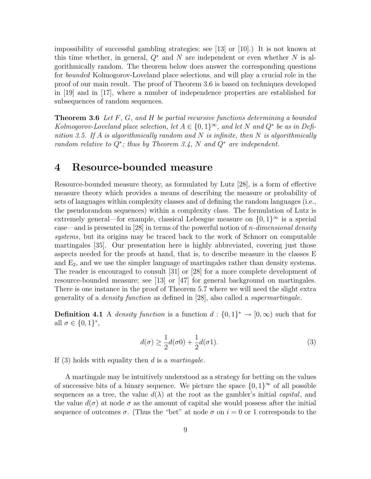impossibility of successful gambling strategies; see [13] or [10].) It is not known at this time whether, in general,  $Q^*$  and N are independent or even whether N is algorithmically random. The theorem below does answer the corresponding questions for bounded Kolmogorov-Loveland place selections, and will play a crucial role in the proof of our main result. The proof of Theorem 3.6 is based on techniques developed in [19] and in [17], where a number of independence properties are established for subsequences of random sequences.

**Theorem 3.6** Let  $F$ ,  $G$ , and  $H$  be partial recursive functions determining a bounded Kolmogorov-Loveland place selection, let  $A \in \{0,1\}^{\infty}$ , and let N and  $Q^*$  be as in Definition 3.5. If A is algorithmically random and N is infinite, then N is algorithmically random relative to  $Q^*$ ; thus by Theorem 3.4, N and  $Q^*$  are independent.

# 4 Resource-bounded measure

Resource-bounded measure theory, as formulated by Lutz [28], is a form of effective measure theory which provides a means of describing the measure or probability of sets of languages within complexity classes and of defining the random languages (i.e., the pseudorandom sequences) within a complexity class. The formulation of Lutz is extremely general—for example, classical Lebesgue measure on  $\{0,1\}^{\infty}$  is a special case—and is presented in [28] in terms of the powerful notion of *n*-dimensional density systems, but its origins may be traced back to the work of Schnorr on computable martingales [35]. Our presentation here is highly abbreviated, covering just those aspects needed for the proofs at hand, that is, to describe measure in the classes E and  $E_2$ , and we use the simpler language of martingales rather than density systems. The reader is encouraged to consult [31] or [28] for a more complete development of resource-bounded measure; see [13] or [47] for general background on martingales. There is one instance in the proof of Theorem 5.7 where we will need the slight extra generality of a density function as defined in [28], also called a supermartingale.

**Definition 4.1** A density function is a function  $d: \{0,1\}^* \to [0,\infty)$  such that for all  $\sigma \in \{0,1\}^*,$ 

$$
d(\sigma) \ge \frac{1}{2}d(\sigma 0) + \frac{1}{2}d(\sigma 1). \tag{3}
$$

If (3) holds with equality then  $d$  is a martingale.

A martingale may be intuitively understood as a strategy for betting on the values of successive bits of a binary sequence. We picture the space  $\{0,1\}^{\infty}$  of all possible sequences as a tree, the value  $d(\lambda)$  at the root as the gambler's initial *capital*, and the value  $d(\sigma)$  at node  $\sigma$  as the amount of capital she would possess after the initial sequence of outcomes  $\sigma$ . (Thus the "bet" at node  $\sigma$  on  $i = 0$  or 1 corresponds to the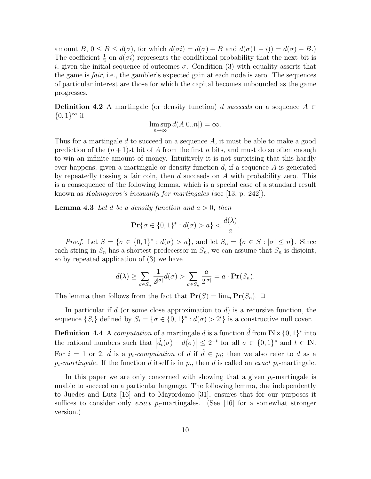amount  $B, 0 \le B \le d(\sigma)$ , for which  $d(\sigma i) = d(\sigma) + B$  and  $d(\sigma(1 - i)) = d(\sigma) - B$ . The coefficient  $\frac{1}{2}$  on  $d(\sigma i)$  represents the conditional probability that the next bit is i, given the initial sequence of outcomes  $\sigma$ . Condition (3) with equality asserts that the game is *fair*, i.e., the gambler's expected gain at each node is zero. The sequences of particular interest are those for which the capital becomes unbounded as the game progresses.

**Definition 4.2** A martingale (or density function) d succeeds on a sequence  $A \in$  ${0,1}^{\infty}$  if

$$
\limsup_{n \to \infty} d(A[0..n]) = \infty.
$$

Thus for a martingale  $d$  to succeed on a sequence  $A$ , it must be able to make a good prediction of the  $(n+1)$ st bit of A from the first n bits, and must do so often enough to win an infinite amount of money. Intuitively it is not surprising that this hardly ever happens; given a martingale or density function  $d$ , if a sequence  $A$  is generated by repeatedly tossing a fair coin, then  $d$  succeeds on  $A$  with probability zero. This is a consequence of the following lemma, which is a special case of a standard result known as *Kolmogorov's inequality for martingales* (see [13, p. 242]).

**Lemma 4.3** Let d be a density function and  $a > 0$ ; then

$$
\Pr\{\sigma \in \{0,1\}^* : d(\sigma) > a\} < \frac{d(\lambda)}{a}.
$$

*Proof.* Let  $S = {\sigma \in \{0,1\}^* : d(\sigma) > a}$ , and let  $S_n = {\sigma \in S : |\sigma| \le n}$ . Since each string in  $S_n$  has a shortest predecessor in  $S_n$ , we can assume that  $S_n$  is disjoint, so by repeated application of (3) we have

$$
d(\lambda) \geq \sum_{\sigma \in S_n} \frac{1}{2^{|\sigma|}} d(\sigma) > \sum_{\sigma \in S_n} \frac{a}{2^{|\sigma|}} = a \cdot \mathbf{Pr}(S_n).
$$

The lemma then follows from the fact that  $\mathbf{Pr}(S) = \lim_{n} \mathbf{Pr}(S_n)$ .  $\Box$ 

In particular if d (or some close approximation to  $d$ ) is a recursive function, the sequence  $\{S_i\}$  defined by  $S_i = \{ \sigma \in \{0,1\}^* : d(\sigma) > 2^i \}$  is a constructive null cover.

**Definition 4.4** A computation of a martingale d is a function  $\hat{d}$  from  $\mathbb{N} \times \{0, 1\}^*$  into the rational numbers such that  $|\hat{d}_t(\sigma) - d(\sigma)| \leq 2^{-t}$  for all  $\sigma \in \{0,1\}^*$  and  $t \in \mathbb{N}$ . For  $i = 1$  or 2,  $\hat{d}$  is a  $p_i$ -computation of d if  $\hat{d} \in p_i$ ; then we also refer to d as a  $p_i$ -martingale. If the function d itself is in  $p_i$ , then d is called an exact  $p_i$ -martingale.

In this paper we are only concerned with showing that a given  $p_i$ -martingale is unable to succeed on a particular language. The following lemma, due independently to Juedes and Lutz [16] and to Mayordomo [31], ensures that for our purposes it suffices to consider only exact  $p_i$ -martingales. (See [16] for a somewhat stronger version.)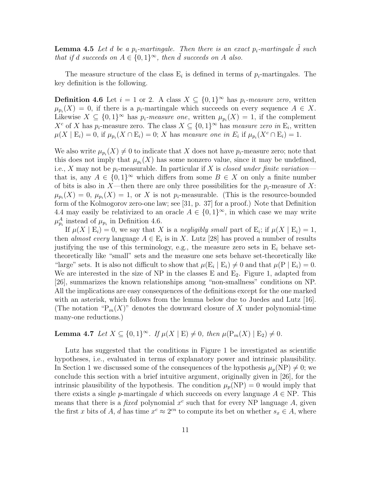**Lemma 4.5** Let d be a  $p_i$ -martingale. Then there is an exact  $p_i$ -martingale d such that if d succeeds on  $A \in \{0,1\}^{\infty}$ , then  $\tilde{d}$  succeeds on A also.

The measure structure of the class  $E_i$  is defined in terms of  $p_i$ -martingales. The key definition is the following.

**Definition 4.6** Let  $i = 1$  or 2. A class  $X \subseteq \{0, 1\}^{\infty}$  has  $p_i$ -measure zero, written  $\mu_{p_i}(X) = 0$ , if there is a  $p_i$ -martingale which succeeds on every sequence  $A \in X$ . Likewise  $X \subseteq \{0,1\}^{\infty}$  has  $p_i$ -measure one, written  $\mu_{p_i}(X) = 1$ , if the complement  $X^c$  of X has  $p_i$ -measure zero. The class  $X \subseteq \{0,1\}^\infty$  has measure zero in  $E_i$ , written  $\mu(X \mid E_i) = 0$ , if  $\mu_{p_i}(X \cap E_i) = 0$ ; X has measure one in  $E_i$  if  $\mu_{p_i}(X^c \cap E_i) = 1$ .

We also write  $\mu_{p_i}(X) \neq 0$  to indicate that X does not have  $p_i$ -measure zero; note that this does not imply that  $\mu_{p_i}(X)$  has some nonzero value, since it may be undefined, i.e., X may not be  $p_i$ -measurable. In particular if X is closed under finite variation that is, any  $A \in \{0,1\}^{\infty}$  which differs from some  $B \in X$  on only a finite number of bits is also in X—then there are only three possibilities for the  $p_i$ -measure of X:  $\mu_{p_i}(X) = 0, \mu_{p_i}(X) = 1$ , or X is not  $p_i$ -measurable. (This is the resource-bounded form of the Kolmogorov zero-one law; see [31, p. 37] for a proof.) Note that Definition 4.4 may easily be relativized to an oracle  $A \in \{0,1\}^{\infty}$ , in which case we may write  $\mu_{p_i}^A$  instead of  $\mu_{p_i}$  in Definition 4.6.

If  $\mu(X \mid E_i) = 0$ , we say that X is a negligibly small part of  $E_i$ ; if  $\mu(X \mid E_i) = 1$ , then *almost every* language  $A \in \mathbb{E}_i$  is in X. Lutz [28] has proved a number of results justifying the use of this terminology, e.g., the measure zero sets in  $E_i$  behave settheoretically like "small" sets and the measure one sets behave set-theoretically like "large" sets. It is also not difficult to show that  $\mu(E_i | E_i) \neq 0$  and that  $\mu(P | E_i) = 0$ . We are interested in the size of NP in the classes E and  $E_2$ . Figure 1, adapted from [26], summarizes the known relationships among "non-smallness" conditions on NP. All the implications are easy consequences of the definitions except for the one marked with an asterisk, which follows from the lemma below due to Juedes and Lutz [16]. (The notation " $P_m(X)$ " denotes the downward closure of X under polynomial-time many-one reductions.)

### Lemma 4.7 Let  $X \subseteq \{0,1\}^{\infty}$ . If  $\mu(X \mid E) \neq 0$ , then  $\mu(\mathrm{P}_m(X) \mid E_2) \neq 0$ .

Lutz has suggested that the conditions in Figure 1 be investigated as scientific hypotheses, i.e., evaluated in terms of explanatory power and intrinsic plausibility. In Section 1 we discussed some of the consequences of the hypothesis  $\mu_p(NP) \neq 0$ ; we conclude this section with a brief intuitive argument, originally given in [26], for the intrinsic plausibility of the hypothesis. The condition  $\mu_p(NP) = 0$  would imply that there exists a single p-martingale d which succeeds on every language  $A \in NP$ . This means that there is a *fixed* polynomial  $x^c$  such that for every NP language A, given the first x bits of A, d has time  $x^c \approx 2^{cn}$  to compute its bet on whether  $s_x \in A$ , where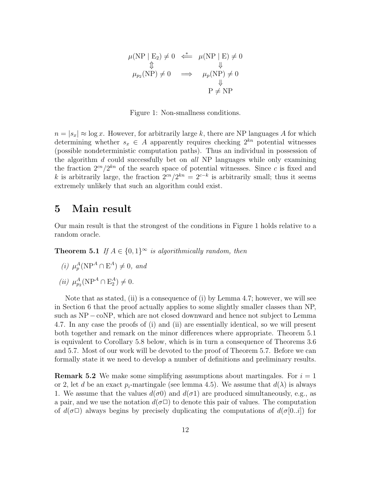$$
\mu(\text{NP} \mid \text{E}_2) \neq 0 \iff \mu(\text{NP} \mid \text{E}) \neq 0
$$
  
\n
$$
\updownarrow \qquad \qquad \downarrow
$$
  
\n
$$
\mu_{p_2}(\text{NP}) \neq 0 \iff \mu_p(\text{NP}) \neq 0
$$
  
\n
$$
\downarrow \qquad \qquad \downarrow
$$
  
\n
$$
\text{P} \neq \text{NP}
$$

Figure 1: Non-smallness conditions.

 $n = |s_x| \approx \log x$ . However, for arbitrarily large k, there are NP languages A for which determining whether  $s_x \in A$  apparently requires checking  $2^{kn}$  potential witnesses (possible nondeterministic computation paths). Thus an individual in possession of the algorithm  $d$  could successfully bet on all NP languages while only examining the fraction  $2^{cn}/2^{kn}$  of the search space of potential witnesses. Since c is fixed and k is arbitrarily large, the fraction  $2^{cn}/2^{kn} = 2^{c-k}$  is arbitrarily small; thus it seems extremely unlikely that such an algorithm could exist.

### 5 Main result

Our main result is that the strongest of the conditions in Figure 1 holds relative to a random oracle.

**Theorem 5.1** If  $A \in \{0,1\}^{\infty}$  is algorithmically random, then

- (i)  $\mu_p^A(NP^A \cap E^A) \neq 0$ , and
- (*ii*)  $\mu_{p_2}^A(NP^A \cap E_2^A) \neq 0.$

Note that as stated, (ii) is a consequence of (i) by Lemma 4.7; however, we will see in Section 6 that the proof actually applies to some slightly smaller classes than NP, such as NP – coNP, which are not closed downward and hence not subject to Lemma 4.7. In any case the proofs of (i) and (ii) are essentially identical, so we will present both together and remark on the minor differences where appropriate. Theorem 5.1 is equivalent to Corollary 5.8 below, which is in turn a consequence of Theorems 3.6 and 5.7. Most of our work will be devoted to the proof of Theorem 5.7. Before we can formally state it we need to develop a number of definitions and preliminary results.

**Remark 5.2** We make some simplifying assumptions about martingales. For  $i = 1$ or 2, let d be an exact  $p_i$ -martingale (see lemma 4.5). We assume that  $d(\lambda)$  is always 1. We assume that the values  $d(\sigma \theta)$  and  $d(\sigma \theta)$  are produced simultaneously, e.g., as a pair, and we use the notation  $d(\sigma \Box)$  to denote this pair of values. The computation of  $d(\sigma \Box)$  always begins by precisely duplicating the computations of  $d(\sigma[0..i])$  for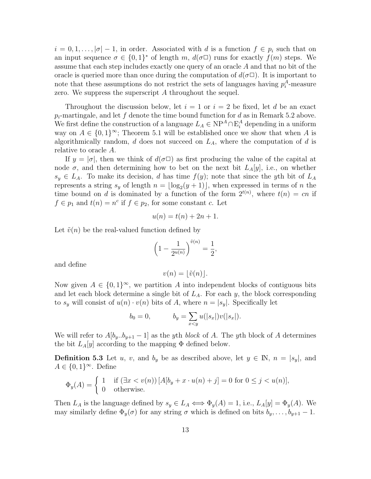$i = 0, 1, \ldots, |\sigma| - 1$ , in order. Associated with d is a function  $f \in p_i$  such that on an input sequence  $\sigma \in \{0,1\}^*$  of length m,  $d(\sigma \Box)$  runs for exactly  $f(m)$  steps. We assume that each step includes exactly one query of an oracle A and that no bit of the oracle is queried more than once during the computation of  $d(\sigma\Box)$ . It is important to note that these assumptions do not restrict the sets of languages having  $p_i^A$ -measure zero. We suppress the superscript A throughout the sequel.

Throughout the discussion below, let  $i = 1$  or  $i = 2$  be fixed, let d be an exact  $p_i$ -martingale, and let f denote the time bound function for d as in Remark 5.2 above. We first define the construction of a language  $L_A \in \mathbb{NP}^A \cap \mathbb{E}_i^A$  depending in a uniform way on  $A \in \{0,1\}^{\infty}$ ; Theorem 5.1 will be established once we show that when A is algorithmically random,  $d$  does not succeed on  $L_A$ , where the computation of  $d$  is relative to oracle A.

If  $y = |\sigma|$ , then we think of  $d(\sigma \Box)$  as first producing the value of the capital at node  $\sigma$ , and then determining how to bet on the next bit  $L_A[y]$ , i.e., on whether  $s_y \in L_A$ . To make its decision, d has time  $f(y)$ ; note that since the yth bit of  $L_A$ represents a string  $s_y$  of length  $n = \lfloor \log_2(y + 1) \rfloor$ , when expressed in terms of n the time bound on d is dominated by a function of the form  $2^{t(n)}$ , where  $t(n) = cn$  if  $f \in p_1$  and  $t(n) = n^c$  if  $f \in p_2$ , for some constant c. Let

$$
u(n) = t(n) + 2n + 1.
$$

Let  $\tilde{v}(n)$  be the real-valued function defined by

$$
\left(1 - \frac{1}{2^{u(n)}}\right)^{\tilde{v}(n)} = \frac{1}{2},
$$

and define

$$
v(n) = \lfloor \tilde{v}(n) \rfloor.
$$

Now given  $A \in \{0,1\}^{\infty}$ , we partition A into independent blocks of contiguous bits and let each block determine a single bit of  $L_A$ . For each y, the block corresponding to  $s_y$  will consist of  $u(n) \cdot v(n)$  bits of A, where  $n = |s_y|$ . Specifically let

$$
b_0 = 0,
$$
  $b_y = \sum_{x \le y} u(|s_x|)v(|s_x|).$ 

We will refer to  $A[b_y..b_{y+1}-1]$  as the yth block of A. The yth block of A determines the bit  $L_A[y]$  according to the mapping  $\Phi$  defined below.

**Definition 5.3** Let u, v, and  $b_y$  be as described above, let  $y \in \mathbb{N}$ ,  $n = |s_y|$ , and  $A \in \{0,1\}^{\infty}$ . Define

$$
\Phi_y(A) = \begin{cases} 1 & \text{if } (\exists x < v(n)) \left[ A[b_y + x \cdot u(n) + j] = 0 \text{ for } 0 \le j < u(n) \right], \\ 0 & \text{otherwise.} \end{cases}
$$

Then  $L_A$  is the language defined by  $s_y \in L_A \iff \Phi_y(A) = 1$ , i.e.,  $L_A[y] = \Phi_y(A)$ . We may similarly define  $\Phi_y(\sigma)$  for any string  $\sigma$  which is defined on bits  $b_y, \ldots, b_{y+1} - 1$ .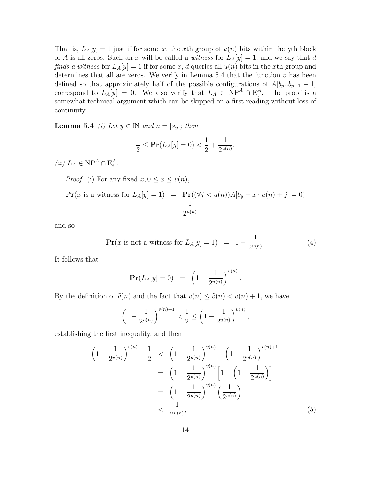That is,  $L_A[y] = 1$  just if for some x, the x<sup>th</sup> group of  $u(n)$  bits within the y<sup>th</sup> block of A is all zeros. Such an x will be called a witness for  $L_A[y] = 1$ , and we say that d finds a witness for  $L_A[y] = 1$  if for some x, d queries all  $u(n)$  bits in the xth group and determines that all are zeros. We verify in Lemma  $5.4$  that the function  $v$  has been defined so that approximately half of the possible configurations of  $A[b_y..b_{y+1} - 1]$ correspond to  $L_A[y] = 0$ . We also verify that  $L_A \in NP^A \cap E_i^A$ . The proof is a somewhat technical argument which can be skipped on a first reading without loss of continuity.

**Lemma 5.4** (i) Let  $y \in \mathbb{N}$  and  $n = |s_y|$ ; then

$$
\frac{1}{2} \le \Pr(L_A[y] = 0) < \frac{1}{2} + \frac{1}{2^{u(n)}}.
$$

(*ii*)  $L_A \in \mathcal{NP}^A \cap \mathcal{E}_i^A$ .

*Proof.* (i) For any fixed  $x, 0 \le x \le v(n)$ ,

$$
\mathbf{Pr}(x \text{ is a witness for } L_A[y] = 1) = \mathbf{Pr}((\forall j < u(n))A[b_y + x \cdot u(n) + j] = 0)
$$
\n
$$
= \frac{1}{2^{u(n)}}
$$

and so

$$
\Pr(x \text{ is not a witness for } L_A[y] = 1) = 1 - \frac{1}{2^{u(n)}}.\tag{4}
$$

.

It follows that

$$
\mathbf{Pr}(L_A[y] = 0) = \left(1 - \frac{1}{2^{u(n)}}\right)^{v(n)}
$$

By the definition of  $\tilde{v}(n)$  and the fact that  $v(n) \leq \tilde{v}(n) < v(n) + 1$ , we have

$$
\left(1 - \frac{1}{2^{u(n)}}\right)^{v(n)+1} < \frac{1}{2} \le \left(1 - \frac{1}{2^{u(n)}}\right)^{v(n)},
$$

establishing the first inequality, and then

$$
\left(1 - \frac{1}{2^{u(n)}}\right)^{v(n)} - \frac{1}{2} < \left(1 - \frac{1}{2^{u(n)}}\right)^{v(n)} - \left(1 - \frac{1}{2^{u(n)}}\right)^{v(n)+1} \\
= \left(1 - \frac{1}{2^{u(n)}}\right)^{v(n)} \left[1 - \left(1 - \frac{1}{2^{u(n)}}\right)\right] \\
= \left(1 - \frac{1}{2^{u(n)}}\right)^{v(n)} \left(\frac{1}{2^{u(n)}}\right) \\
< \frac{1}{2^{u(n)}},\n\tag{5}
$$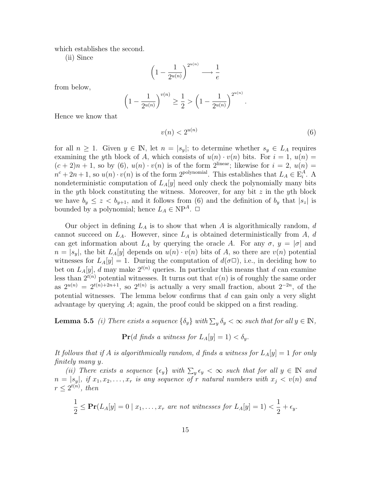which establishes the second.

(ii) Since

$$
\left(1 - \frac{1}{2^{u(n)}}\right)^{2^{u(n)}} \longrightarrow \frac{1}{e}
$$

from below,

$$
\left(1 - \frac{1}{2^{u(n)}}\right)^{v(n)} \ge \frac{1}{2} > \left(1 - \frac{1}{2^{u(n)}}\right)^{2^{u(n)}}.
$$

Hence we know that

 $v(n) < 2^{u(n)}$ (6)

for all  $n \geq 1$ . Given  $y \in \mathbb{N}$ , let  $n = |s_y|$ ; to determine whether  $s_y \in L_A$  requires examining the yth block of A, which consists of  $u(n) \cdot v(n)$  bits. For  $i = 1, u(n) =$  $(c+2)n+1$ , so by  $(6)$ ,  $u(n)\cdot v(n)$  is of the form 2<sup>linear</sup>; likewise for  $i=2$ ,  $u(n)$  $n^{c} + 2n + 1$ , so  $u(n) \cdot v(n)$  is of the form 2<sup>polynomial</sup>. This establishes that  $L_A \in \mathbb{E}_i^A$ . A nondeterministic computation of  $L_A[y]$  need only check the polynomially many bits in the yth block constituting the witness. Moreover, for any bit  $z$  in the yth block we have  $b_y \leq z \leq b_{y+1}$ , and it follows from (6) and the definition of  $b_y$  that  $|s_z|$  is bounded by a polynomial; hence  $L_A \in \text{NP}^A$ .  $\Box$ 

Our object in defining  $L_A$  is to show that when A is algorithmically random, d cannot succeed on  $L_A$ . However, since  $L_A$  is obtained deterministically from A, d can get information about  $L_A$  by querying the oracle A. For any  $\sigma, y = |\sigma|$  and  $n = |s_y|$ , the bit  $L_A[y]$  depends on  $u(n) \cdot v(n)$  bits of A, so there are  $v(n)$  potential witnesses for  $L_A[y] = 1$ . During the computation of  $d(\sigma \Box)$ , i.e., in deciding how to bet on  $L_A[y]$ , d may make  $2^{t(n)}$  queries. In particular this means that d can examine less than  $2^{t(n)}$  potential witnesses. It turns out that  $v(n)$  is of roughly the same order as  $2^{u(n)} = 2^{t(n)+2n+1}$ , so  $2^{t(n)}$  is actually a very small fraction, about  $2^{-2n}$ , of the potential witnesses. The lemma below confirms that  $d$  can gain only a very slight advantage by querying  $A$ ; again, the proof could be skipped on a first reading.

**Lemma 5.5** (i) There exists a sequence  $\{\delta_y\}$  with  $\sum_y \delta_y < \infty$  such that for all  $y \in \mathbb{N}$ ,

 $\Pr(d \text{ finds a witness for } L_A[y] = 1) < \delta_y.$ 

It follows that if A is algorithmically random, d finds a witness for  $L_A[y] = 1$  for only finitely many y.

(ii) There exists a sequence  $\{\epsilon_y\}$  with  $\sum_y \epsilon_y < \infty$  such that for all  $y \in \mathbb{N}$  and  $n = |s_y|$ , if  $x_1, x_2, \ldots, x_r$  is any sequence of r natural numbers with  $x_j < v(n)$  and  $r \leq 2^{t(n)}$ , then

$$
\frac{1}{2} \leq \Pr(L_A[y] = 0 \mid x_1, \dots, x_r \text{ are not witnesses for } L_A[y] = 1) < \frac{1}{2} + \epsilon_y.
$$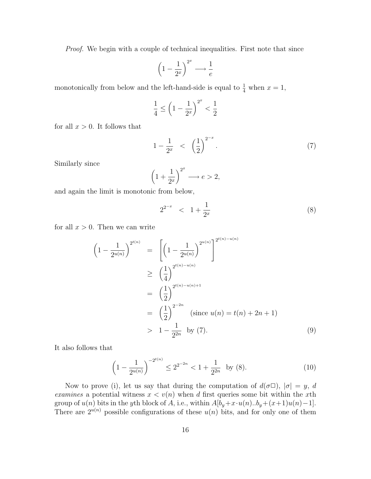Proof. We begin with a couple of technical inequalities. First note that since

$$
\left(1 - \frac{1}{2^x}\right)^{2^x} \longrightarrow \frac{1}{e}
$$

monotonically from below and the left-hand-side is equal to  $\frac{1}{4}$  when  $x = 1$ ,

$$
\frac{1}{4} \le \left(1 - \frac{1}{2^x}\right)^{2^x} < \frac{1}{2}
$$

for all  $x > 0$ . It follows that

$$
1 - \frac{1}{2^x} < \left(\frac{1}{2}\right)^{2^{-x}}.\tag{7}
$$

Similarly since

$$
\left(1+\frac{1}{2^x}\right)^{2^x} \longrightarrow e > 2,
$$

and again the limit is monotonic from below,

$$
2^{2^{-x}} < 1 + \frac{1}{2^x}
$$
 (8)

for all  $x > 0$ . Then we can write

$$
\begin{aligned}\n\left(1 - \frac{1}{2^{u(n)}}\right)^{2^{t(n)}} &= \left[\left(1 - \frac{1}{2^{u(n)}}\right)^{2^{u(n)}}\right]^{2^{t(n)-u(n)}} \\
&\geq \left(\frac{1}{4}\right)^{2^{t(n)-u(n)}} \\
&= \left(\frac{1}{2}\right)^{2^{t(n)-u(n)+1}} \\
&= \left(\frac{1}{2}\right)^{2^{-2n}} \quad \text{(since } u(n) = t(n) + 2n + 1) \\
&> 1 - \frac{1}{2^{2n}} \quad \text{by (7)}.\n\end{aligned}
$$
\n
$$
(9)
$$

It also follows that

$$
\left(1 - \frac{1}{2^{u(n)}}\right)^{-2^{t(n)}} \le 2^{2^{-2n}} < 1 + \frac{1}{2^{2n}} \text{ by (8).}
$$
 (10)

Now to prove (i), let us say that during the computation of  $d(\sigma \Box)$ ,  $|\sigma| = y$ , d examines a potential witness  $x < v(n)$  when d first queries some bit within the xth group of  $u(n)$  bits in the yth block of A, i.e., within  $A[b_y+x\cdot u(n)..b_y+(x+1)u(n)-1]$ . There are  $2^{u(n)}$  possible configurations of these  $u(n)$  bits, and for only one of them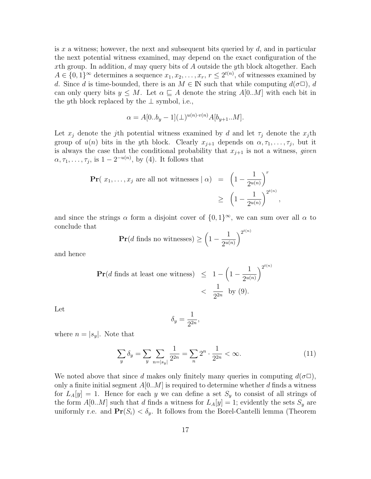is x a witness; however, the next and subsequent bits queried by  $d$ , and in particular the next potential witness examined, may depend on the exact configuration of the xth group. In addition,  $d$  may query bits of  $A$  outside the yth block altogether. Each  $A \in \{0,1\}^{\infty}$  determines a sequence  $x_1, x_2, \ldots, x_r, r \leq 2^{t(n)}$ , of witnesses examined by d. Since d is time-bounded, there is an  $M \in \mathbb{N}$  such that while computing  $d(\sigma \Box)$ , d can only query bits  $y \leq M$ . Let  $\alpha \subseteq A$  denote the string  $A[0..M]$  with each bit in the yth block replaced by the  $\perp$  symbol, i.e.,

$$
\alpha = A[0..b_y - 1](\perp)^{u(n) \cdot v(n)} A[b_{y+1}..M].
$$

Let  $x_j$  denote the j<sup>th</sup> potential witness examined by d and let  $\tau_j$  denote the  $x_j$ <sup>th</sup> group of  $u(n)$  bits in the yth block. Clearly  $x_{j+1}$  depends on  $\alpha, \tau_1, \ldots, \tau_j$ , but it is always the case that the conditional probability that  $x_{j+1}$  is not a witness, *given*  $\alpha, \tau_1, \ldots, \tau_j$ , is  $1 - 2^{-u(n)}$ , by (4). It follows that

$$
\begin{aligned} \Pr(|x_1, \dots, x_j| \text{ are all not witnesses } | \alpha) &= \left(1 - \frac{1}{2^{u(n)}}\right)^r \\ &\ge \left(1 - \frac{1}{2^{u(n)}}\right)^{2^{t(n)}} \end{aligned}
$$

and since the strings  $\alpha$  form a disjoint cover of  $\{0,1\}^{\infty}$ , we can sum over all  $\alpha$  to conclude that  $n)$ 

$$
\mathbf{Pr}(d \text{ finds no witnesses}) \ge \left(1 - \frac{1}{2^{u(n)}}\right)^{2^{t(n)}}
$$

and hence

$$
\begin{aligned} \Pr(d \text{ finds at least one witness}) &\leq 1 - \left(1 - \frac{1}{2^{u(n)}}\right)^{2^{t(n)}} \\ &< \frac{1}{2^{2n}} \text{ by (9).} \end{aligned}
$$

Let

$$
\delta_y = \frac{1}{2^{2n}},
$$

where  $n = |s_y|$ . Note that

$$
\sum_{y} \delta_y = \sum_{y} \sum_{n=|s_y|} \frac{1}{2^{2n}} = \sum_{n} 2^n \cdot \frac{1}{2^{2n}} < \infty.
$$
 (11)

,

We noted above that since d makes only finitely many queries in computing  $d(\sigma \Box)$ , only a finite initial segment  $A[0..M]$  is required to determine whether d finds a witness for  $L_A[y] = 1$ . Hence for each y we can define a set  $S_y$  to consist of all strings of the form  $A[0..M]$  such that d finds a witness for  $L_A[y] = 1$ ; evidently the sets  $S_y$  are uniformly r.e. and  $Pr(S_i) < \delta_y$ . It follows from the Borel-Cantelli lemma (Theorem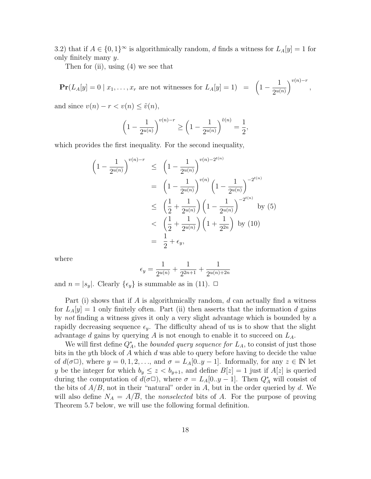3.2) that if  $A \in \{0,1\}^{\infty}$  is algorithmically random, d finds a witness for  $L_A[y] = 1$  for only finitely many y.

Then for (ii), using (4) we see that

 $\mathbf{Pr}(L_A[y] = 0 \mid x_1, \ldots, x_r$  are not witnesses for  $L_A[y] = 1$  =  $\left(1 - \frac{1}{2w}\right)$  $2^{u(n)}$  $\bigg)^{v(n)-r},$ 

and since  $v(n) - r < v(n) \leq \tilde{v}(n)$ ,

$$
\left(1 - \frac{1}{2^{u(n)}}\right)^{v(n)-r} \ge \left(1 - \frac{1}{2^{u(n)}}\right)^{\tilde{v}(n)} = \frac{1}{2},
$$

which provides the first inequality. For the second inequality,

$$
\begin{aligned}\n\left(1 - \frac{1}{2^{u(n)}}\right)^{v(n)-r} &\leq \left(1 - \frac{1}{2^{u(n)}}\right)^{v(n)-2^{t(n)}} \\
&= \left(1 - \frac{1}{2^{u(n)}}\right)^{v(n)} \left(1 - \frac{1}{2^{u(n)}}\right)^{-2^{t(n)}} \\
&\leq \left(\frac{1}{2} + \frac{1}{2^{u(n)}}\right) \left(1 - \frac{1}{2^{u(n)}}\right)^{-2^{t(n)}} \quad \text{by (5)} \\
&< \left(\frac{1}{2} + \frac{1}{2^{u(n)}}\right) \left(1 + \frac{1}{2^{2n}}\right) \quad \text{by (10)} \\
&= \frac{1}{2} + \epsilon_y,\n\end{aligned}
$$

where

$$
\epsilon_y = \frac{1}{2^{u(n)}} + \frac{1}{2^{2n+1}} + \frac{1}{2^{u(n)+2n}}
$$

and  $n = |s_y|$ . Clearly  $\{\epsilon_y\}$  is summable as in (11).  $\Box$ 

Part (i) shows that if A is algorithmically random,  $d$  can actually find a witness for  $L_A[y] = 1$  only finitely often. Part (ii) then asserts that the information d gains by not finding a witness gives it only a very slight advantage which is bounded by a rapidly decreasing sequence  $\epsilon_y$ . The difficulty ahead of us is to show that the slight advantage d gains by querying  $A$  is not enough to enable it to succeed on  $L_A$ .

We will first define  $Q_A^*$ , the *bounded query sequence for*  $L_A$ , to consist of just those bits in the yth block of A which d was able to query before having to decide the value of  $d(\sigma\Box)$ , where  $y = 0, 1, 2, \ldots$ , and  $\sigma = L_A[0..y-1]$ . Informally, for any  $z \in \mathbb{N}$  let y be the integer for which  $b_y \leq z \leq b_{y+1}$ , and define  $B[z] = 1$  just if  $A[z]$  is queried during the computation of  $d(\sigma \Box)$ , where  $\sigma = L_A[0..y-1]$ . Then  $Q_A^*$  will consist of the bits of  $A/B$ , not in their "natural" order in A, but in the order queried by d. We will also define  $N_A = A/B$ , the nonselected bits of A. For the purpose of proving Theorem 5.7 below, we will use the following formal definition.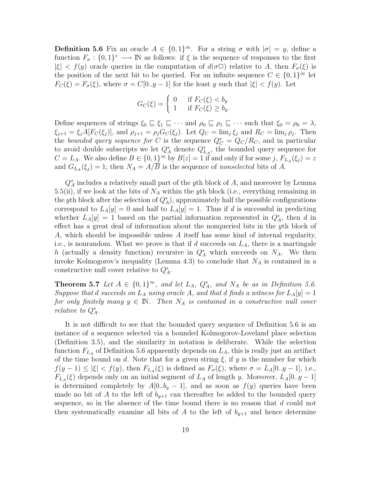**Definition 5.6** Fix an oracle  $A \in \{0,1\}^{\infty}$ . For a string  $\sigma$  with  $|\sigma| = y$ , define a function  $F_{\sigma}: \{0,1\}^* \longrightarrow \mathbb{N}$  as follows: if  $\xi$  is the sequence of responses to the first  $|\xi| < f(y)$  oracle queries in the computation of  $d(\sigma \Box)$  relative to A, then  $F_{\sigma}(\xi)$  is the position of the next bit to be queried. For an infinite sequence  $C \in \{0,1\}^{\infty}$  let  $F_C(\xi) = F_{\sigma}(\xi)$ , where  $\sigma = C[0..y-1]$  for the least y such that  $|\xi| < f(y)$ . Let

$$
G_C(\xi) = \begin{cases} 0 & \text{if } F_C(\xi) < b_y \\ 1 & \text{if } F_C(\xi) \ge b_y. \end{cases}
$$

Define sequences of strings  $\xi_0 \subseteq \xi_1 \subseteq \cdots$  and  $\rho_0 \subseteq \rho_1 \subseteq \cdots$  such that  $\xi_0 = \rho_0 = \lambda$ ,  $\xi_{j+1} = \xi_j A[F_C(\xi_j)]$ , and  $\rho_{j+1} = \rho_j G_C(\xi_j)$ . Let  $Q_C = \lim_j \xi_j$  and  $R_C = \lim_j \rho_j$ . Then the bounded query sequence for C is the sequence  $Q^*_{\mathcal{C}} = Q_{\mathcal{C}}/R_{\mathcal{C}}$ , and in particular to avoid double subscripts we let  $Q_A^*$  denote  $Q_{LA}^*$ , the bounded query sequence for  $C = L_A$ . We also define  $B \in \{0, 1\}^\infty$  by  $B[z] = 1$  if and only if for some j,  $F_{L_A}(\xi_j) = z$ and  $G_{L_A}(\xi_j) = 1$ ; then  $N_A = A/B$  is the sequence of *nonselected* bits of A.

 $Q_A^*$  includes a relatively small part of the *y*th block of A, and moreover by Lemma 5.5(ii), if we look at the bits of  $N_A$  within the yth block (i.e., everything remaining in the yth block after the selection of  $Q_A^*$ , approximately half the possible configurations correspond to  $L_A[y] = 0$  and half to  $L_A[y] = 1$ . Thus if d is successful in predicting whether  $L_A[y] = 1$  based on the partial information represented in  $Q_A^*$ , then d in effect has a great deal of information about the nonqueried bits in the yth block of A, which should be impossible unless A itself has some kind of internal regularity, i.e., is nonrandom. What we prove is that if d succeeds on  $L_A$ , there is a martingale h (actually a density function) recursive in  $Q_A^*$  which succeeds on  $N_A$ . We then invoke Kolmogorov's inequality (Lemma 4.3) to conclude that  $N_A$  is contained in a constructive null cover relative to  $Q_A^*$ .

**Theorem 5.7** Let  $A \in \{0,1\}^{\infty}$ , and let  $L_A$ ,  $Q_A^*$ , and  $N_A$  be as in Definition 5.6. Suppose that d succeeds on  $L_A$  using oracle A, and that d finds a witness for  $L_A[y] = 1$ for only finitely many  $y \in \mathbb{N}$ . Then  $N_A$  is contained in a constructive null cover relative to  $Q_A^*$ .

It is not difficult to see that the bounded query sequence of Definition 5.6 is an instance of a sequence selected via a bounded Kolmogorov-Loveland place selection (Definition 3.5), and the similarity in notation is deliberate. While the selection function  $F_{L_A}$  of Definition 5.6 apparently depends on  $L_A$ , this is really just an artifact of the time bound on d. Note that for a given string  $\xi$ , if y is the number for which  $f(y-1) \leq |\xi| < f(y)$ , then  $F_{L_A}(\xi)$  is defined as  $F_{\sigma}(\xi)$ , where  $\sigma = L_A[0..y-1]$ , i.e.,  $F_{L_A}(\xi)$  depends only on an initial segment of  $L_A$  of length y. Moreover,  $L_A[0..y-1]$ is determined completely by  $A[0..b_y - 1]$ , and as soon as  $f(y)$  queries have been made no bit of A to the left of  $b_{y+1}$  can thereafter be added to the bounded query sequence, so in the absence of the time bound there is no reason that d could not then systematically examine all bits of A to the left of  $b_{y+1}$  and hence determine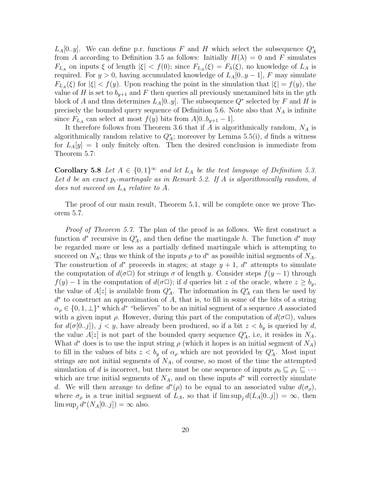$L_A[0,y]$ . We can define p.r. functions F and H which select the subsequence  $Q_A^*$ from A according to Definition 3.5 as follows: Initially  $H(\lambda) = 0$  and F simulates  $F_{L_A}$  on inputs  $\xi$  of length  $|\xi| < f(0)$ ; since  $F_{L_A}(\xi) = F_{\lambda}(\xi)$ , no knowledge of  $L_A$  is required. For  $y > 0$ , having accumulated knowledge of  $L_A[0..y-1]$ , F may simulate  $F_{L_A}(\xi)$  for  $|\xi| < f(y)$ . Upon reaching the point in the simulation that  $|\xi| = f(y)$ , the value of H is set to  $b_{y+1}$  and F then queries all previously unexamined bits in the yth block of A and thus determines  $L_A[0,y]$ . The subsequence  $Q^*$  selected by F and H is precisely the bounded query sequence of Definition 5.6. Note also that  $N_A$  is infinite since  $F_{L_A}$  can select at most  $f(y)$  bits from  $A[0..b_{y+1}-1]$ .

It therefore follows from Theorem 3.6 that if  $A$  is algorithmically random,  $N_A$  is algorithmically random relative to  $Q_A^*$ ; moreover by Lemma 5.5(i), d finds a witness for  $L_A|y|=1$  only finitely often. Then the desired conclusion is immediate from Theorem 5.7:

**Corollary 5.8** Let  $A \in \{0,1\}^{\infty}$  and let  $L_A$  be the test language of Definition 5.3. Let d be an exact  $p_i$ -martingale as in Remark 5.2. If A is algorithmically random, d does not succeed on  $L_A$  relative to  $A$ .

The proof of our main result, Theorem 5.1, will be complete once we prove Theorem 5.7.

*Proof of Theorem 5.7.* The plan of the proof is as follows. We first construct a function  $d^*$  recursive in  $Q_A^*$ , and then define the martingale h. The function  $d^*$  may be regarded more or less as a partially defined martingale which is attempting to succeed on  $N_A$ ; thus we think of the inputs  $\rho$  to  $d^*$  as possible initial segments of  $N_A$ . The construction of  $d^*$  proceeds in stages; at stage  $y + 1$ ,  $d^*$  attempts to simulate the computation of  $d(\sigma \Box)$  for strings  $\sigma$  of length y. Consider steps  $f(y - 1)$  through  $f(y) - 1$  in the computation of  $d(\sigma \Box)$ ; if d queries bit z of the oracle, where  $z \ge b_y$ , the value of  $A[z]$  is available from  $Q_A^*$ . The information in  $Q_A^*$  can then be used by  $d^*$  to construct an approximation of A, that is, to fill in some of the bits of a string  $\alpha_{\rho} \in \{0, 1, \perp\}^*$  which  $d^*$  "believes" to be an initial segment of a sequence A associated with a given input  $\rho$ . However, during this part of the computation of  $d(\sigma \Box)$ , values for  $d(\sigma[0..j])$ ,  $j < y$ , have already been produced, so if a bit  $z < b_y$  is queried by d, the value  $A[z]$  is not part of the bounded query sequence  $Q_A^*$ , i.e, it resides in  $N_A$ . What  $d^*$  does is to use the input string  $\rho$  (which it hopes is an initial segment of  $N_A$ ) to fill in the values of bits  $z < b_y$  of  $\alpha_\rho$  which are not provided by  $Q_A^*$ . Most input strings are not initial segments of  $N_A$ , of course, so most of the time the attempted simulation of d is incorrect, but there must be one sequence of inputs  $\rho_0 \sqsubseteq \rho_1 \sqsubseteq \cdots$ which are true initial segments of  $N_A$ , and on these inputs  $d^*$  will correctly simulate d. We will then arrange to define  $d^*(\rho)$  to be equal to an associated value  $d(\sigma_\rho)$ , where  $\sigma_{\rho}$  is a true initial segment of  $L_A$ , so that if  $\limsup_i d(L_A[0..j]) = \infty$ , then  $\limsup_j d^*(N_A[0..j]) = \infty$  also.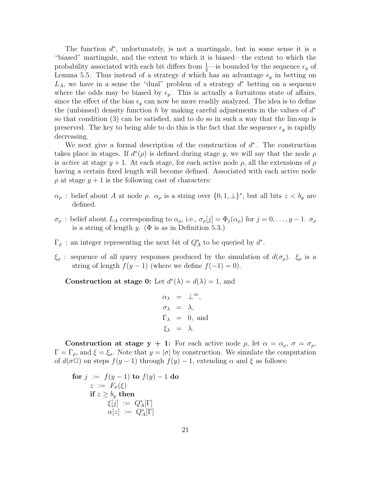The function  $d^*$ , unfortunately, is not a martingale, but in some sense it is a "biased" martingale, and the extent to which it is biased—the extent to which the probability associated with each bit differs from  $\frac{1}{2}$ —is bounded by the sequence  $\epsilon_y$  of Lemma 5.5. Thus instead of a strategy d which has an advantage  $\epsilon_y$  in betting on  $L_A$ , we have in a sense the "dual" problem of a strategy  $d^*$  betting on a sequence where the odds may be biased by  $\epsilon_y$ . This is actually a fortuitous state of affairs, since the effect of the bias  $\epsilon_y$  can now be more readily analyzed. The idea is to define the (unbiased) density function h by making careful adjustments in the values of  $d^*$ so that condition (3) can be satisfied, and to do so in such a way that the lim sup is preserved. The key to being able to do this is the fact that the sequence  $\epsilon_y$  is rapidly decreasing.

We next give a formal description of the construction of  $d^*$ . The construction takes place in stages. If  $d^*(\rho)$  is defined during stage y, we will say that the node  $\rho$ is active at stage  $y + 1$ . At each stage, for each active node  $\rho$ , all the extensions of  $\rho$ having a certain fixed length will become defined. Associated with each active node  $\rho$  at stage  $y + 1$  is the following cast of characters:

- $\alpha_{\rho}$ : belief about A at node  $\rho$ .  $\alpha_{\rho}$  is a string over  $\{0, 1, \perp\}^*$ , but all bits  $z < b_y$  are defined.
- $\sigma_{\rho}$ : belief about  $L_A$  corresponding to  $\alpha_{\rho}$ , i.e.,  $\sigma_{\rho}[j] = \Phi_j(\alpha_{\rho})$  for  $j = 0, \ldots, y 1$ .  $\sigma_{\rho}$ is a string of length y. ( $\Phi$  is as in Definition 5.3.)
- $\Gamma_{\rho}$ : an integer representing the next bit of  $Q_A^*$  to be queried by  $d^*$ .
- $\xi_{\rho}$ : sequence of all query responses produced by the simulation of  $d(\sigma_{\rho})$ .  $\xi_{\rho}$  is a string of length  $f(y-1)$  (where we define  $f(-1) = 0$ ).

Construction at stage 0: Let  $d^*(\lambda) = d(\lambda) = 1$ , and

$$
\alpha_{\lambda} = \perp^{\infty},
$$
  
\n
$$
\sigma_{\lambda} = \lambda,
$$
  
\n
$$
\Gamma_{\lambda} = 0, \text{ and}
$$
  
\n
$$
\xi_{\lambda} = \lambda.
$$

Construction at stage y + 1: For each active node  $\rho$ , let  $\alpha = \alpha_{\rho}, \sigma = \sigma_{\rho}$ ,  $\Gamma = \Gamma_{\rho}$ , and  $\xi = \xi_{\rho}$ . Note that  $y = |\sigma|$  by construction. We simulate the computation of  $d(\sigma \Box)$  on steps  $f(y-1)$  through  $f(y) - 1$ , extending  $\alpha$  and  $\xi$  as follows:

for 
$$
j := f(y-1)
$$
 to  $f(y) - 1$  do  
\n $z := F_{\sigma}(\xi)$   
\nif  $z \ge b_y$  then  
\n $\xi[j] := Q_A^*[\Gamma]$   
\n $\alpha[z] := Q_A^*[\Gamma]$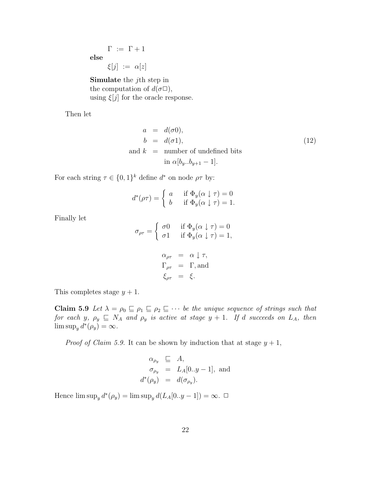$\Gamma := \Gamma + 1$ else  $\xi[j] := \alpha[z]$ 

Simulate the jth step in the computation of  $d(\sigma \Box)$ , using  $\xi[j]$  for the oracle response.

Then let

$$
a = d(\sigma 0),
$$
  
\n
$$
b = d(\sigma 1),
$$
  
\nand 
$$
k = \text{number of undefined bits}
$$
  
\n
$$
\text{in } \alpha[b_y..b_{y+1} - 1].
$$
\n(12)

For each string  $\tau \in \{0,1\}^k$  define  $d^*$  on node  $\rho\tau$  by:

$$
d^*(\rho \tau) = \begin{cases} a & \text{if } \Phi_y(\alpha \downarrow \tau) = 0 \\ b & \text{if } \Phi_y(\alpha \downarrow \tau) = 1. \end{cases}
$$

Finally let

$$
\sigma_{\rho\tau} = \begin{cases}\n\sigma 0 & \text{if } \Phi_y(\alpha \downarrow \tau) = 0 \\
\sigma 1 & \text{if } \Phi_y(\alpha \downarrow \tau) = 1, \n\end{cases}
$$
\n
$$
\alpha_{\rho\tau} = \alpha \downarrow \tau,
$$
\n
$$
\Gamma_{\rho\tau} = \Gamma, \text{and}
$$
\n
$$
\xi_{\rho\tau} = \xi.
$$

This completes stage  $y + 1$ .

Claim 5.9 Let  $\lambda = \rho_0 \sqsubseteq \rho_1 \sqsubseteq \rho_2 \sqsubseteq \cdots$  be the unique sequence of strings such that for each y,  $\rho_y \subseteq N_A$  and  $\rho_y$  is active at stage  $y + 1$ . If d succeeds on  $L_A$ , then  $\limsup_{y} d^{*}(\rho_{y}) = \infty.$ 

*Proof of Claim 5.9.* It can be shown by induction that at stage  $y + 1$ ,

$$
\begin{array}{rcl}\n\alpha_{\rho_y} & \sqsubseteq & A, \\
\sigma_{\rho_y} & = & L_A[0..y-1], \text{ and} \\
d^*(\rho_y) & = & d(\sigma_{\rho_y}).\n\end{array}
$$

Hence  $\limsup_y d^*(\rho_y) = \limsup_y d(L_A[0..y-1]) = \infty. \ \Box$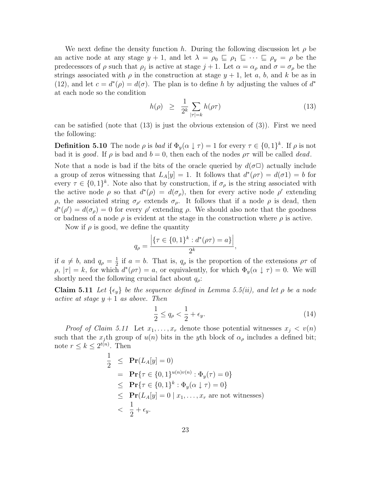We next define the density function h. During the following discussion let  $\rho$  be an active node at any stage  $y + 1$ , and let  $\lambda = \rho_0 \subseteq \rho_1 \subseteq \cdots \subseteq \rho_y = \rho$  be the predecessors of  $\rho$  such that  $\rho_j$  is active at stage  $j+1$ . Let  $\alpha = \alpha_\rho$  and  $\sigma = \sigma_\rho$  be the strings associated with  $\rho$  in the construction at stage  $y + 1$ , let a, b, and k be as in (12), and let  $c = d^*(\rho) = d(\sigma)$ . The plan is to define h by adjusting the values of  $d^*$ at each node so the condition

$$
h(\rho) \geq \frac{1}{2^k} \sum_{|\tau|=k} h(\rho \tau) \tag{13}
$$

can be satisfied (note that  $(13)$  is just the obvious extension of  $(3)$ ). First we need the following:

**Definition 5.10** The node  $\rho$  is bad if  $\Phi_y(\alpha \downarrow \tau) = 1$  for every  $\tau \in \{0,1\}^k$ . If  $\rho$  is not bad it is good. If  $\rho$  is bad and  $b = 0$ , then each of the nodes  $\rho \tau$  will be called dead.

Note that a node is bad if the bits of the oracle queried by  $d(\sigma \Box)$  actually include a group of zeros witnessing that  $L_A[y] = 1$ . It follows that  $d^*(\rho \tau) = d(\sigma 1) = b$  for every  $\tau \in \{0,1\}^k$ . Note also that by construction, if  $\sigma_\rho$  is the string associated with the active node  $\rho$  so that  $d^*(\rho) = d(\sigma_\rho)$ , then for every active node  $\rho'$  extending  $ρ$ , the associated string  $σ_{ρ'}$  extends  $σ_{ρ}$ . It follows that if a node  $ρ$  is dead, then  $d^*(\rho') = d(\sigma_\rho) = 0$  for every  $\rho'$  extending  $\rho$ . We should also note that the goodness or badness of a node  $\rho$  is evident at the stage in the construction where  $\rho$  is active.

Now if  $\rho$  is good, we define the quantity

$$
q_{\rho} = \frac{\left| \{ \tau \in \{0, 1\}^k : d^*(\rho \tau) = a \} \right|}{2^k},
$$

if  $a \neq b$ , and  $q_{\rho} = \frac{1}{2}$  $\frac{1}{2}$  if  $a = b$ . That is,  $q<sub>\rho</sub>$  is the proportion of the extensions  $\rho\tau$  of  $\rho, |\tau| = k$ , for which  $d^*(\rho \tau) = a$ , or equivalently, for which  $\Phi_y(\alpha \downarrow \tau) = 0$ . We will shortly need the following crucial fact about  $q_{\rho}$ :

**Claim 5.11** Let  $\{\epsilon_y\}$  be the sequence defined in Lemma 5.5(ii), and let  $\rho$  be a node active at stage  $y + 1$  as above. Then

$$
\frac{1}{2} \le q_{\rho} < \frac{1}{2} + \epsilon_y. \tag{14}
$$

*Proof of Claim 5.11* Let  $x_1, \ldots, x_r$  denote those potential witnesses  $x_j < v(n)$ such that the  $x_i$ <sup>th</sup> group of  $u(n)$  bits in the y<sup>th</sup> block of  $\alpha_\rho$  includes a defined bit; note  $r \leq k \leq 2^{t(n)}$ . Then

$$
\frac{1}{2} \leq \mathbf{Pr}(L_A[y] = 0)
$$
\n
$$
= \mathbf{Pr}\{\tau \in \{0, 1\}^{u(n)v(n)} : \Phi_y(\tau) = 0\}
$$
\n
$$
\leq \mathbf{Pr}\{\tau \in \{0, 1\}^k : \Phi_y(\alpha \downarrow \tau) = 0\}
$$
\n
$$
\leq \mathbf{Pr}(L_A[y] = 0 \mid x_1, \dots, x_r \text{ are not witnesses})
$$
\n
$$
< \frac{1}{2} + \epsilon_y.
$$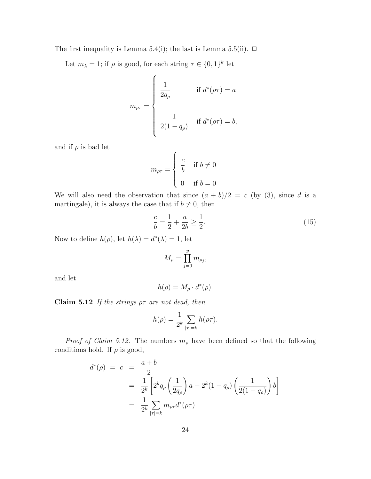The first inequality is Lemma 5.4(i); the last is Lemma 5.5(ii).  $\Box$ 

Let  $m_{\lambda} = 1$ ; if  $\rho$  is good, for each string  $\tau \in \{0, 1\}^k$  let

$$
m_{\rho\tau} = \begin{cases} \frac{1}{2q_{\rho}} & \text{if } d^*(\rho\tau) = a \\ & \\ \frac{1}{2(1-q_{\rho})} & \text{if } d^*(\rho\tau) = b, \end{cases}
$$

and if  $\rho$  is bad let

$$
m_{\rho\tau} = \begin{cases} c & \text{if } b \neq 0 \\ 0 & \text{if } b = 0 \end{cases}
$$

We will also need the observation that since  $(a + b)/2 = c$  (by (3), since d is a martingale), it is always the case that if  $b \neq 0$ , then

$$
\frac{c}{b} = \frac{1}{2} + \frac{a}{2b} \ge \frac{1}{2}.\tag{15}
$$

Now to define  $h(\rho)$ , let  $h(\lambda) = d^*(\lambda) = 1$ , let

$$
M_{\rho} = \prod_{j=0}^{y} m_{\rho_j},
$$

and let

$$
h(\rho) = M_{\rho} \cdot d^*(\rho).
$$

Claim 5.12 If the strings  $\rho\tau$  are not dead, then

$$
h(\rho) = \frac{1}{2^k} \sum_{|\tau|=k} h(\rho \tau).
$$

*Proof of Claim 5.12.* The numbers  $m_\rho$  have been defined so that the following conditions hold. If  $\rho$  is good,

$$
d^*(\rho) = c = \frac{a+b}{2}
$$
  
=  $\frac{1}{2^k} \left[ 2^k q_\rho \left( \frac{1}{2q_\rho} \right) a + 2^k (1 - q_\rho) \left( \frac{1}{2(1 - q_\rho)} \right) b \right]$   
=  $\frac{1}{2^k} \sum_{|\tau| = k} m_{\rho \tau} d^*(\rho \tau)$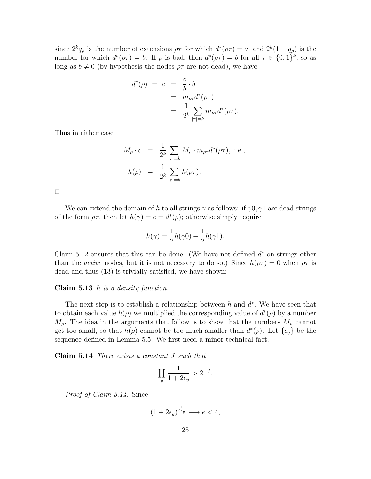since  $2^k q_\rho$  is the number of extensions  $\rho\tau$  for which  $d^*(\rho\tau) = a$ , and  $2^k(1-q_\rho)$  is the number for which  $d^*(\rho \tau) = b$ . If  $\rho$  is bad, then  $d^*(\rho \tau) = b$  for all  $\tau \in \{0,1\}^k$ , so as long as  $b \neq 0$  (by hypothesis the nodes  $\rho\tau$  are not dead), we have

$$
d^*(\rho) = c = \frac{c}{b} \cdot b
$$
  
=  $m_{\rho\tau}d^*(\rho\tau)$   
=  $\frac{1}{2^k}\sum_{|\tau|=k} m_{\rho\tau}d^*(\rho\tau).$ 

Thus in either case

$$
M_{\rho} \cdot c = \frac{1}{2^k} \sum_{|\tau|=k} M_{\rho} \cdot m_{\rho\tau} d^*(\rho\tau), \text{ i.e.,}
$$
  

$$
h(\rho) = \frac{1}{2^k} \sum_{|\tau|=k} h(\rho\tau).
$$

 $\Box$ 

We can extend the domain of h to all strings  $\gamma$  as follows: if  $\gamma 0, \gamma 1$  are dead strings of the form  $\rho\tau$ , then let  $h(\gamma) = c = d^*(\rho)$ ; otherwise simply require

$$
h(\gamma) = \frac{1}{2}h(\gamma 0) + \frac{1}{2}h(\gamma 1).
$$

Claim 5.12 ensures that this can be done. (We have not defined  $d^*$  on strings other than the *active* nodes, but it is not necessary to do so.) Since  $h(\rho\tau) = 0$  when  $\rho\tau$  is dead and thus (13) is trivially satisfied, we have shown:

#### Claim  $5.13$  h is a density function.

The next step is to establish a relationship between  $h$  and  $d^*$ . We have seen that to obtain each value  $h(\rho)$  we multiplied the corresponding value of  $d^*(\rho)$  by a number  $M_{\rho}$ . The idea in the arguments that follow is to show that the numbers  $M_{\rho}$  cannot get too small, so that  $h(\rho)$  cannot be too much smaller than  $d^*(\rho)$ . Let  $\{\epsilon_y\}$  be the sequence defined in Lemma 5.5. We first need a minor technical fact.

Claim 5.14 There exists a constant J such that

$$
\prod_{y} \frac{1}{1 + 2\epsilon_y} > 2^{-J}.
$$

Proof of Claim 5.14. Since

$$
(1+2\epsilon_y)^{\frac{1}{2\epsilon_y}} \longrightarrow e < 4,
$$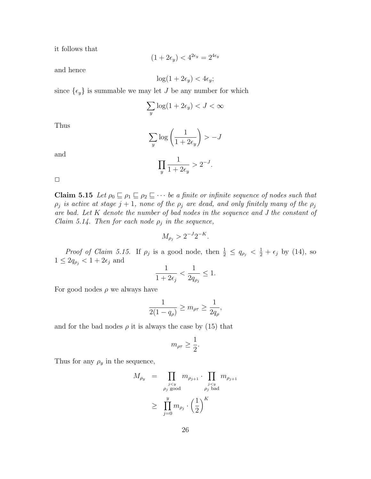it follows that

$$
(1+2\epsilon_y) < 4^{2\epsilon_y} = 2^{4\epsilon_y}
$$

and hence

$$
\log(1+2\epsilon_y) < 4\epsilon_y;
$$

since  $\{\epsilon_y\}$  is summable we may let J be any number for which

$$
\sum_{y} \log(1 + 2\epsilon_y) < J < \infty
$$

Thus

$$
\sum_{y} \log \left( \frac{1}{1 + 2\epsilon_y} \right) > -J
$$

and

$$
\prod_{y} \frac{1}{1 + 2\epsilon_y} > 2^{-J}.
$$

 $\Box$ 

Claim 5.15 Let  $\rho_0 \sqsubseteq \rho_1 \sqsubseteq \rho_2 \sqsubseteq \cdots$  be a finite or infinite sequence of nodes such that  $\rho_j$  is active at stage  $j + 1$ , none of the  $\rho_j$  are dead, and only finitely many of the  $\rho_j$ are bad. Let K denote the number of bad nodes in the sequence and J the constant of Claim 5.14. Then for each node  $\rho_j$  in the sequence,

$$
M_{\rho_j} > 2^{-J} 2^{-K}.
$$

*Proof of Claim 5.15.* If  $\rho_j$  is a good node, then  $\frac{1}{2} \le q_{\rho_j} < \frac{1}{2} + \epsilon_j$  by (14), so  $1\leq 2q_{\rho_j} < 1+2\epsilon_j$  and

$$
\frac{1}{1+2\epsilon_j}<\frac{1}{2q_{\rho_j}}\leq 1.
$$

For good nodes  $\rho$  we always have

$$
\frac{1}{2(1-q_{\rho})} \ge m_{\rho\tau} \ge \frac{1}{2q_{\rho}},
$$

and for the bad nodes  $\rho$  it is always the case by (15) that

$$
m_{\rho\tau}\geq \frac{1}{2}.
$$

Thus for any  $\rho_y$  in the sequence,

$$
M_{\rho_y} = \prod_{\substack{j < y \\ \rho_j \text{ good}}} m_{\rho_{j+1}} \cdot \prod_{\substack{j < y \\ \rho_j \text{ bad}}} m_{\rho_{j+1}}
$$
\n
$$
\geq \prod_{j=0}^y m_{\rho_j} \cdot \left(\frac{1}{2}\right)^K
$$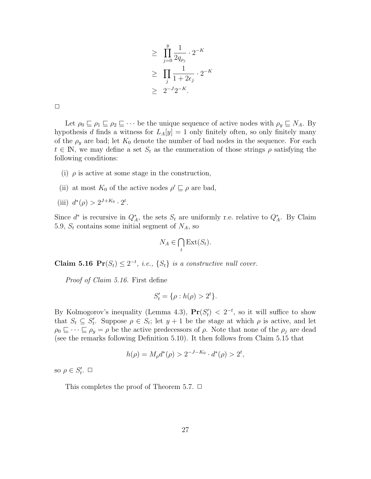$$
\geq \prod_{j=0}^{y} \frac{1}{2q_{\rho_j}} \cdot 2^{-K}
$$

$$
\geq \prod_{j} \frac{1}{1+2\epsilon_j} \cdot 2^{-K}
$$

$$
\geq 2^{-J}2^{-K}.
$$

| ___ |  |  |
|-----|--|--|

Let  $\rho_0 \sqsubseteq \rho_1 \sqsubseteq \rho_2 \sqsubseteq \cdots$  be the unique sequence of active nodes with  $\rho_y \sqsubseteq N_A$ . By hypothesis d finds a witness for  $L_A[y] = 1$  only finitely often, so only finitely many of the  $\rho_y$  are bad; let  $K_0$  denote the number of bad nodes in the sequence. For each  $t \in \mathbb{N}$ , we may define a set  $S_t$  as the enumeration of those strings  $\rho$  satisfying the following conditions:

- (i)  $\rho$  is active at some stage in the construction,
- (ii) at most  $K_0$  of the active nodes  $\rho' \sqsubseteq \rho$  are bad,

(iii) 
$$
d^*(\rho) > 2^{J+K_0} \cdot 2^t
$$
.

Since  $d^*$  is recursive in  $Q_A^*$ , the sets  $S_t$  are uniformly r.e. relative to  $Q_A^*$ . By Claim 5.9,  $S_t$  contains some initial segment of  $N_A$ , so

$$
N_A \in \bigcap_t \text{Ext}(S_t).
$$

**Claim 5.16**  $\Pr(S_t) \leq 2^{-t}$ , *i.e.*,  $\{S_t\}$  *is a constructive null cover.* 

Proof of Claim 5.16. First define

$$
S_t' = \{ \rho : h(\rho) > 2^t \}.
$$

By Kolmogorov's inequality (Lemma 4.3),  $Pr(S_t') < 2^{-t}$ , so it will suffice to show that  $S_t \subseteq S'_t$ . Suppose  $\rho \in S_t$ ; let  $y + 1$  be the stage at which  $\rho$  is active, and let  $\rho_0 \sqsubseteq \cdots \sqsubseteq \rho_y = \rho$  be the active predecessors of  $\rho$ . Note that none of the  $\rho_j$  are dead (see the remarks following Definition 5.10). It then follows from Claim 5.15 that

$$
h(\rho) = M_{\rho}d^*(\rho) > 2^{-J-K_0} \cdot d^*(\rho) > 2^t,
$$

so  $\rho \in S'_t$ .  $\Box$ 

This completes the proof of Theorem 5.7.  $\Box$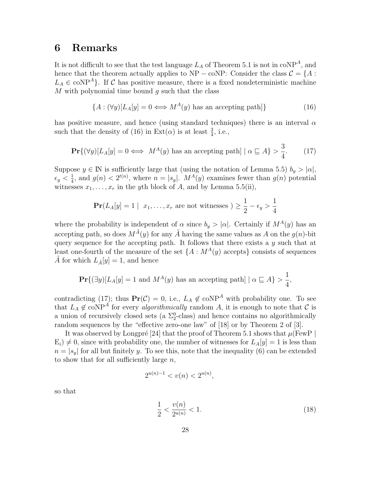### 6 Remarks

It is not difficult to see that the test language  $L_A$  of Theorem 5.1 is not in coNP<sup>A</sup>, and hence that the theorem actually applies to NP – coNP: Consider the class  $C = \{A :$  $L_A \in \text{coNP}^A$ . If C has positive measure, there is a fixed nondeterministic machine M with polynomial time bound  $q$  such that the class

$$
\{A : (\forall y)[L_A[y] = 0 \Longleftrightarrow M^A(y) \text{ has an accepting path}]\}\
$$
 (16)

has positive measure, and hence (using standard techniques) there is an interval  $\alpha$ such that the density of (16) in  $Ext(\alpha)$  is at least  $\frac{3}{4}$ , i.e.,

$$
\Pr\{(\forall y)[L_A[y] = 0 \iff M^A(y) \text{ has an accepting path}] \mid \alpha \sqsubseteq A\} > \frac{3}{4}.\tag{17}
$$

Suppose  $y \in \mathbb{N}$  is sufficiently large that (using the notation of Lemma 5.5)  $b_y > |\alpha|$ ,  $\epsilon_y < \frac{1}{4}$  $\frac{1}{4}$ , and  $g(n) < 2^{t(n)}$ , where  $n = |s_y|$ .  $M^A(y)$  examines fewer than  $g(n)$  potential witnesses  $x_1, \ldots, x_r$  in the yth block of A, and by Lemma 5.5(ii),

$$
\mathbf{Pr}(L_A[y] = 1 \mid x_1, \dots, x_r \text{ are not witnesses } ) \ge \frac{1}{2} - \epsilon_y > \frac{1}{4}
$$

where the probability is independent of  $\alpha$  since  $b_y > |\alpha|$ . Certainly if  $M^A(y)$  has an accepting path, so does  $M^{\tilde{A}}(y)$  for any  $\tilde{A}$  having the same values as A on the  $g(n)$ -bit query sequence for the accepting path. It follows that there exists a  $y$  such that at least one-fourth of the measure of the set  $\{A : M^A(y) \text{ accepts}\}$  consists of sequences A for which  $L_{\tilde{A}}[y] = 1$ , and hence

$$
\mathbf{Pr}\{(\exists y)[L_A[y] = 1 \text{ and } M^A(y) \text{ has an accepting path}] \mid \alpha \sqsubseteq A\} > \frac{1}{4},
$$

contradicting (17); thus  $Pr(\mathcal{C}) = 0$ , i.e.,  $L_A \notin \text{coNP}^A$  with probability one. To see that  $L_A \notin \text{coNP}^A$  for every *algorithmically* random A, it is enough to note that C is a union of recursively closed sets (a  $\Sigma^0_2$ -class) and hence contains no algorithmically random sequences by the "effective zero-one law" of [18] or by Theorem 2 of [3].

It was observed by Longpré [24] that the proof of Theorem 5.1 shows that  $\mu$ (FewP)  $E_i$ )  $\neq$  0, since with probability one, the number of witnesses for  $L_A[y] = 1$  is less than  $n = |s_y|$  for all but finitely y. To see this, note that the inequality (6) can be extended to show that for all sufficiently large  $n$ ,

$$
2^{u(n)-1} < v(n) < 2^{u(n)},
$$

so that

$$
\frac{1}{2} < \frac{v(n)}{2^{u(n)}} < 1. \tag{18}
$$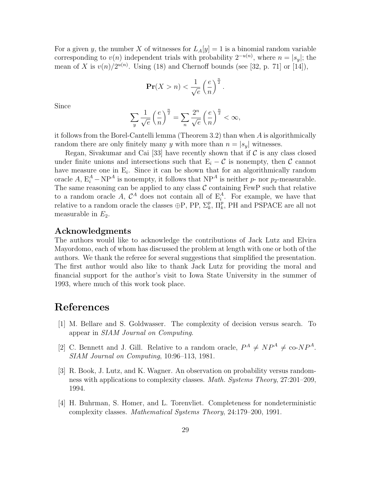For a given y, the number X of witnesses for  $L_A[y] = 1$  is a binomial random variable corresponding to  $v(n)$  independent trials with probability  $2^{-u(n)}$ , where  $n = |s_y|$ ; the mean of X is  $v(n)/2^{u(n)}$ . Using (18) and Chernoff bounds (see [32, p. 71] or [14]),

$$
\mathbf{Pr}(X > n) < \frac{1}{\sqrt{e}} \left(\frac{e}{n}\right)^{\frac{n}{2}}
$$

.

Since

$$
\sum_{y}\frac{1}{\sqrt{e}}\left(\frac{e}{n}\right)^{\frac{n}{2}}=\sum_{n}\frac{2^n}{\sqrt{e}}\left(\frac{e}{n}\right)^{\frac{n}{2}}<\infty,
$$

it follows from the Borel-Cantelli lemma (Theorem 3.2) than when A is algorithmically random there are only finitely many y with more than  $n = |s_y|$  witnesses.

Regan, Sivakumar and Cai [33] have recently shown that if  $\mathcal C$  is any class closed under finite unions and intersections such that  $E_i - C$  is nonempty, then C cannot have measure one in  $E_i$ . Since it can be shown that for an algorithmically random oracle A,  $E_i^A - NP^A$  is nonempty, it follows that  $NP^A$  is neither p- nor p<sub>2</sub>-measurable. The same reasoning can be applied to any class  $\mathcal C$  containing FewP such that relative to a random oracle A,  $\mathcal{C}^A$  does not contain all of  $E_i^A$ . For example, we have that relative to a random oracle the classes  $\oplus P$ , PP,  $\Sigma_k^p$ ,  $\Pi_k^p$ , PH and PSPACE are all not measurable in  $E_2$ .

### Acknowledgments

The authors would like to acknowledge the contributions of Jack Lutz and Elvira Mayordomo, each of whom has discussed the problem at length with one or both of the authors. We thank the referee for several suggestions that simplified the presentation. The first author would also like to thank Jack Lutz for providing the moral and financial support for the author's visit to Iowa State University in the summer of 1993, where much of this work took place.

### References

- [1] M. Bellare and S. Goldwasser. The complexity of decision versus search. To appear in SIAM Journal on Computing.
- [2] C. Bennett and J. Gill. Relative to a random oracle,  $P^A \neq NP^A \neq$  co- $NP^A$ . SIAM Journal on Computing, 10:96–113, 1981.
- [3] R. Book, J. Lutz, and K. Wagner. An observation on probability versus randomness with applications to complexity classes. Math. Systems Theory, 27:201–209, 1994.
- [4] H. Buhrman, S. Homer, and L. Torenvliet. Completeness for nondeterministic complexity classes. Mathematical Systems Theory, 24:179–200, 1991.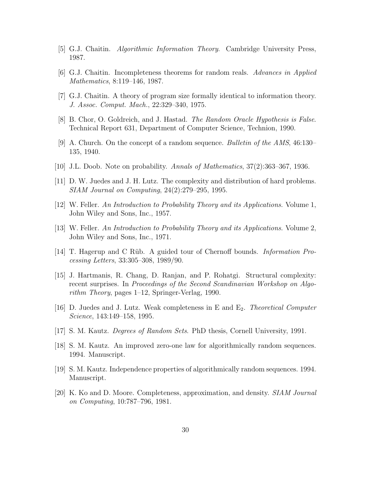- [5] G.J. Chaitin. Algorithmic Information Theory. Cambridge University Press, 1987.
- [6] G.J. Chaitin. Incompleteness theorems for random reals. Advances in Applied Mathematics, 8:119–146, 1987.
- [7] G.J. Chaitin. A theory of program size formally identical to information theory. J. Assoc. Comput. Mach., 22:329–340, 1975.
- [8] B. Chor, O. Goldreich, and J. Hastad. *The Random Oracle Hypothesis is False*. Technical Report 631, Department of Computer Science, Technion, 1990.
- [9] A. Church. On the concept of a random sequence. Bulletin of the AMS, 46:130– 135, 1940.
- [10] J.L. Doob. Note on probability. Annals of Mathematics, 37(2):363–367, 1936.
- [11] D. W. Juedes and J. H. Lutz. The complexity and distribution of hard problems. SIAM Journal on Computing, 24(2):279–295, 1995.
- [12] W. Feller. An Introduction to Probability Theory and its Applications. Volume 1, John Wiley and Sons, Inc., 1957.
- [13] W. Feller. An Introduction to Probability Theory and its Applications. Volume 2, John Wiley and Sons, Inc., 1971.
- [14] T. Hagerup and C Rüb. A guided tour of Chernoff bounds. *Information Pro*cessing Letters, 33:305–308, 1989/90.
- [15] J. Hartmanis, R. Chang, D. Ranjan, and P. Rohatgi. Structural complexity: recent surprises. In Proceedings of the Second Scandinavian Workshop on Algorithm Theory, pages 1–12, Springer-Verlag, 1990.
- [16] D. Juedes and J. Lutz. Weak completeness in E and E2. Theoretical Computer Science, 143:149–158, 1995.
- [17] S. M. Kautz. Degrees of Random Sets. PhD thesis, Cornell University, 1991.
- [18] S. M. Kautz. An improved zero-one law for algorithmically random sequences. 1994. Manuscript.
- [19] S. M. Kautz. Independence properties of algorithmically random sequences. 1994. Manuscript.
- [20] K. Ko and D. Moore. Completeness, approximation, and density. SIAM Journal on Computing, 10:787–796, 1981.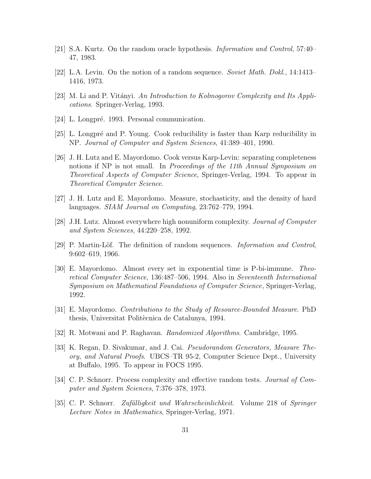- [21] S.A. Kurtz. On the random oracle hypothesis. Information and Control, 57:40– 47, 1983.
- [22] L.A. Levin. On the notion of a random sequence. Soviet Math. Dokl., 14:1413– 1416, 1973.
- [23] M. Li and P. Vitányi. An Introduction to Kolmogorov Complexity and Its Applications. Springer-Verlag, 1993.
- [24] L. Longpré. 1993. Personal communication.
- [25] L. Longpré and P. Young. Cook reducibility is faster than Karp reducibility in NP. Journal of Computer and System Sciences, 41:389–401, 1990.
- [26] J. H. Lutz and E. Mayordomo. Cook versus Karp-Levin: separating completeness notions if NP is not small. In Proceedings of the 11th Annual Symposium on Theoretical Aspects of Computer Science, Springer-Verlag, 1994. To appear in Theoretical Computer Science.
- [27] J. H. Lutz and E. Mayordomo. Measure, stochasticity, and the density of hard languages. SIAM Journal on Computing, 23:762–779, 1994.
- [28] J.H. Lutz. Almost everywhere high nonuniform complexity. Journal of Computer and System Sciences, 44:220–258, 1992.
- [29] P. Martin-Löf. The definition of random sequences. *Information and Control*, 9:602–619, 1966.
- [30] E. Mayordomo. Almost every set in exponential time is P-bi-immune. Theoretical Computer Science, 136:487–506, 1994. Also in Seventeenth International Symposium on Mathematical Foundations of Computer Science, Springer-Verlag, 1992.
- [31] E. Mayordomo. Contributions to the Study of Resource-Bounded Measure. PhD thesis, Universitat Politècnica de Catalunya, 1994.
- [32] R. Motwani and P. Raghavan. Randomized Algorithms. Cambridge, 1995.
- [33] K. Regan, D. Sivakumar, and J. Cai. Pseudorandom Generators, Measure Theory, and Natural Proofs. UBCS–TR 95-2, Computer Science Dept., University at Buffalo, 1995. To appear in FOCS 1995.
- [34] C. P. Schnorr. Process complexity and effective random tests. Journal of Computer and System Sciences, 7:376–378, 1973.
- [35] C. P. Schnorr. *Zufälligkeit und Wahrscheinlichkeit*. Volume 218 of Springer Lecture Notes in Mathematics, Springer-Verlag, 1971.